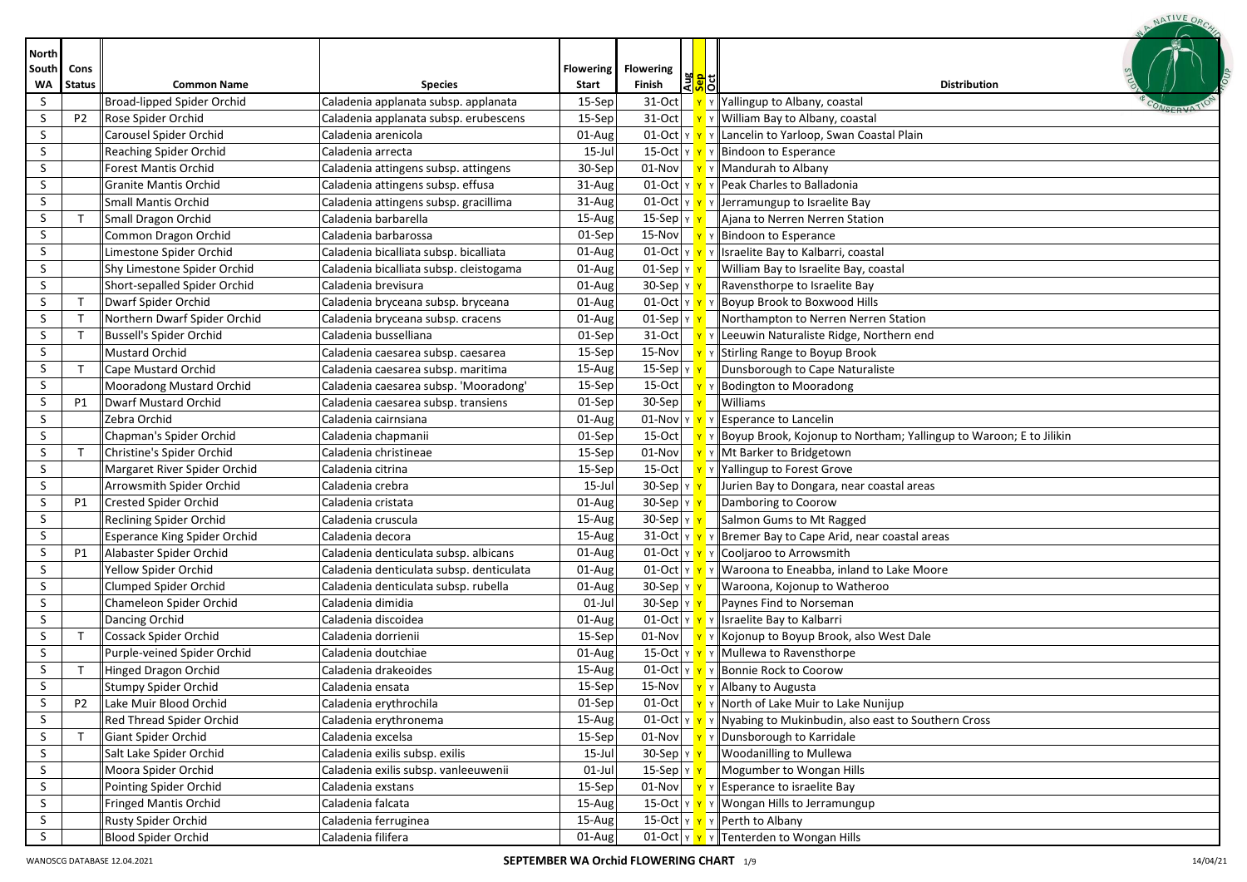|                             |                       |                                     |                                          |                                  |                                                                        | NATIVE OR                                                                    |
|-----------------------------|-----------------------|-------------------------------------|------------------------------------------|----------------------------------|------------------------------------------------------------------------|------------------------------------------------------------------------------|
| <b>North</b><br>South<br>WA | Cons<br><b>Status</b> | <b>Common Name</b>                  | <b>Species</b>                           | <b>Flowering</b><br><b>Start</b> | <b>Flowering</b><br> 果 <mark>이</mark><br> 이 <mark>하</mark> 기<br>Finish | <b>Distribution</b>                                                          |
| S                           |                       | Broad-lipped Spider Orchid          | Caladenia applanata subsp. applanata     | 15-Sep                           | 31-Oct                                                                 | Yallingup to Albany, coastal                                                 |
| S                           | P <sub>2</sub>        | Rose Spider Orchid                  | Caladenia applanata subsp. erubescens    | 15-Sep                           | 31-Oct                                                                 | William Bay to Albany, coastal                                               |
| S                           |                       | Carousel Spider Orchid              | Caladenia arenicola                      | 01-Aug                           | $01$ -Oct $ y $                                                        | Lancelin to Yarloop, Swan Coastal Plain                                      |
| S                           |                       | Reaching Spider Orchid              | Caladenia arrecta                        | 15-Jul                           | 15-Oct   Y <mark>Y</mark>                                              | Bindoon to Esperance                                                         |
| S                           |                       | <b>Forest Mantis Orchid</b>         | Caladenia attingens subsp. attingens     | 30-Sep                           | 01-Nov                                                                 | Y   Mandurah to Albany                                                       |
| S                           |                       | <b>Granite Mantis Orchid</b>        | Caladenia attingens subsp. effusa        | 31-Aug                           | $01$ -Oct $\vert$ Y $\vert$ Y                                          | Peak Charles to Balladonia                                                   |
| S                           |                       | <b>Small Mantis Orchid</b>          | Caladenia attingens subsp. gracillima    | 31-Aug                           |                                                                        | 01-Oct $\mathbf{v}$ $\mathbf{v}$ $\mathbf{v}$   Jerramungup to Israelite Bay |
| S                           | $\mathsf{T}$          | Small Dragon Orchid                 | Caladenia barbarella                     | 15-Aug                           | $15-Sep$<br>Y                                                          | Ajana to Nerren Nerren Station                                               |
| S.                          |                       | Common Dragon Orchid                | Caladenia barbarossa                     | 01-Sep                           | 15-Nov                                                                 | Bindoon to Esperance                                                         |
| S.                          |                       | Limestone Spider Orchid             | Caladenia bicalliata subsp. bicalliata   | 01-Aug                           | 01-Oct $\vert$ Y $\vert$ Y                                             | Israelite Bay to Kalbarri, coastal                                           |
| S.                          |                       | Shy Limestone Spider Orchid         | Caladenia bicalliata subsp. cleistogama  | 01-Aug                           | $01-Sep$ $y$                                                           | William Bay to Israelite Bay, coastal                                        |
| S                           |                       | Short-sepalled Spider Orchid        | Caladenia brevisura                      | 01-Aug                           | $30-Sep$ $y$                                                           | Ravensthorpe to Israelite Bay                                                |
| S                           | $\mathsf{T}$          | Dwarf Spider Orchid                 | Caladenia bryceana subsp. bryceana       | 01-Aug                           | $01$ -Oct $ v $                                                        | Boyup Brook to Boxwood Hills                                                 |
| S                           | $\top$                | Northern Dwarf Spider Orchid        | Caladenia bryceana subsp. cracens        | 01-Aug                           | $01-Sep$ $y$ $y$                                                       | Northampton to Nerren Nerren Station                                         |
| S                           | $\mathsf{T}$          | Bussell's Spider Orchid             | Caladenia busselliana                    | 01-Sep                           | 31-Oct                                                                 | Leeuwin Naturaliste Ridge, Northern end                                      |
| S                           |                       | Mustard Orchid                      | Caladenia caesarea subsp. caesarea       | 15-Sep                           | 15-Nov                                                                 | Y Stirling Range to Boyup Brook                                              |
| S                           | $\mathsf{T}$          | Cape Mustard Orchid                 | Caladenia caesarea subsp. maritima       | 15-Aug                           | 15-Sep $ v $                                                           | Dunsborough to Cape Naturaliste                                              |
| S.                          |                       | Mooradong Mustard Orchid            | Caladenia caesarea subsp. 'Mooradong'    | 15-Sep                           | 15-Oct                                                                 | Bodington to Mooradong                                                       |
| S.                          | <b>P1</b>             | <b>Dwarf Mustard Orchid</b>         | Caladenia caesarea subsp. transiens      | 01-Sep                           | 30-Sep                                                                 | Williams                                                                     |
| S                           |                       | Zebra Orchid                        | Caladenia cairnsiana                     | 01-Aug                           | 01-Nov<br>YY                                                           | Y Esperance to Lancelin                                                      |
| S.                          |                       | Chapman's Spider Orchid             | Caladenia chapmanii                      | 01-Sep                           | 15-Oct                                                                 | Boyup Brook, Kojonup to Northam; Yallingup to Waroon; E to Jilikin           |
| S                           | $\mathsf{T}$          | Christine's Spider Orchid           | Caladenia christineae                    | 15-Sep                           | 01-Nov                                                                 | Y Mt Barker to Bridgetown                                                    |
| S                           |                       | Margaret River Spider Orchid        | Caladenia citrina                        | 15-Sep                           | 15-Oct                                                                 | Yallingup to Forest Grove                                                    |
| S                           |                       | Arrowsmith Spider Orchid            | Caladenia crebra                         | 15-Jul                           | $30-$ Sep $\vert \vee \vert$                                           | Jurien Bay to Dongara, near coastal areas                                    |
| S                           | P1                    | Crested Spider Orchid               | Caladenia cristata                       | 01-Aug                           | $30-Sep y $                                                            | Damboring to Coorow                                                          |
| S.                          |                       | Reclining Spider Orchid             | Caladenia cruscula                       | 15-Aug                           | $30-Sep$<br>Y                                                          | Salmon Gums to Mt Ragged                                                     |
| S.                          |                       | <b>Esperance King Spider Orchid</b> | Caladenia decora                         | 15-Aug                           | 31-Oct $\vert$ Y $\vert$ Y                                             | Bremer Bay to Cape Arid, near coastal areas                                  |
| S.                          | P1                    | Alabaster Spider Orchid             | Caladenia denticulata subsp. albicans    | 01-Aug                           | $01$ -Oct $ y $                                                        | Cooljaroo to Arrowsmith                                                      |
| S                           |                       | Yellow Spider Orchid                | Caladenia denticulata subsp. denticulata | 01-Aug                           | 01-Oct $\vert$ Y $\vert$ Y                                             | Waroona to Eneabba, inland to Lake Moore                                     |
| S.                          |                       | Clumped Spider Orchid               | Caladenia denticulata subsp. rubella     | 01-Aug                           | $30-Sep$ $y$                                                           | Waroona, Kojonup to Watheroo                                                 |
| S.                          |                       | Chameleon Spider Orchid             | Caladenia dimidia                        | 01-Jul                           | 30-Sep YY                                                              | Paynes Find to Norseman                                                      |
| S                           |                       | Dancing Orchid                      | Caladenia discoidea                      | 01-Aug                           |                                                                        | 01-Oct $\mathbf{v} \times \mathbf{v}$ Y Israelite Bay to Kalbarri            |
| S                           | $\mathsf{T}$          | Cossack Spider Orchid               | Caladenia dorrienii                      | 15-Sep                           | 01-Nov                                                                 | Kojonup to Boyup Brook, also West Dale                                       |
| S                           |                       | Purple-veined Spider Orchid         | Caladenia doutchiae                      | 01-Aug                           |                                                                        | 15-Oct $\mathbf{v} \times \mathbf{v}$ $\mathbf{v}$ Mullewa to Ravensthorpe   |
| S                           | $\mathsf{T}$          | Hinged Dragon Orchid                | Caladenia drakeoides                     | 15-Aug                           |                                                                        | 01-Oct   Y   Y   Bonnie Rock to Coorow                                       |
| S.                          |                       | Stumpy Spider Orchid                | Caladenia ensata                         | 15-Sep                           | 15-Nov                                                                 | <b>Tabusing</b> Y   Albany to Augusta                                        |
| S.                          | <b>P2</b>             | Lake Muir Blood Orchid              | Caladenia erythrochila                   | 01-Sep                           | 01-Oct                                                                 | Y North of Lake Muir to Lake Nunijup                                         |
| S.                          |                       | Red Thread Spider Orchid            | Caladenia erythronema                    | 15-Aug                           | $01$ -Oct $y$                                                          | Y    Nyabing to Mukinbudin, also east to Southern Cross                      |
| S.                          | $\mathsf{T}$          | Giant Spider Orchid                 | Caladenia excelsa                        | 15-Sep                           | 01-Nov                                                                 | Y   Dunsborough to Karridale                                                 |
| S.                          |                       | Salt Lake Spider Orchid             | Caladenia exilis subsp. exilis           | 15-Jul                           | 30-Sep   γ <mark>  γ</mark>                                            | <b>Woodanilling to Mullewa</b>                                               |
| S.                          |                       | Moora Spider Orchid                 | Caladenia exilis subsp. vanleeuwenii     | $01$ -Jul                        | 15-Sep $ Y $                                                           | Mogumber to Wongan Hills                                                     |
| S.                          |                       | Pointing Spider Orchid              | Caladenia exstans                        | 15-Sep                           | 01-Nov                                                                 | Esperance to israelite Bay                                                   |
| S.                          |                       | <b>Fringed Mantis Orchid</b>        | Caladenia falcata                        | 15-Aug                           | 15-Oct Y Y                                                             | Y    Wongan Hills to Jerramungup                                             |
| S.                          |                       | Rusty Spider Orchid                 | Caladenia ferruginea                     | 15-Aug                           |                                                                        | 15-Oct $\  \mathbf{v} \  \mathbf{v} \ $ Perth to Albany                      |
| S.                          |                       | Blood Spider Orchid                 | Caladenia filifera                       | 01-Aug                           |                                                                        | 01-Oct $\mathbf{v} \times \mathbf{v}$ Tenterden to Wongan Hills              |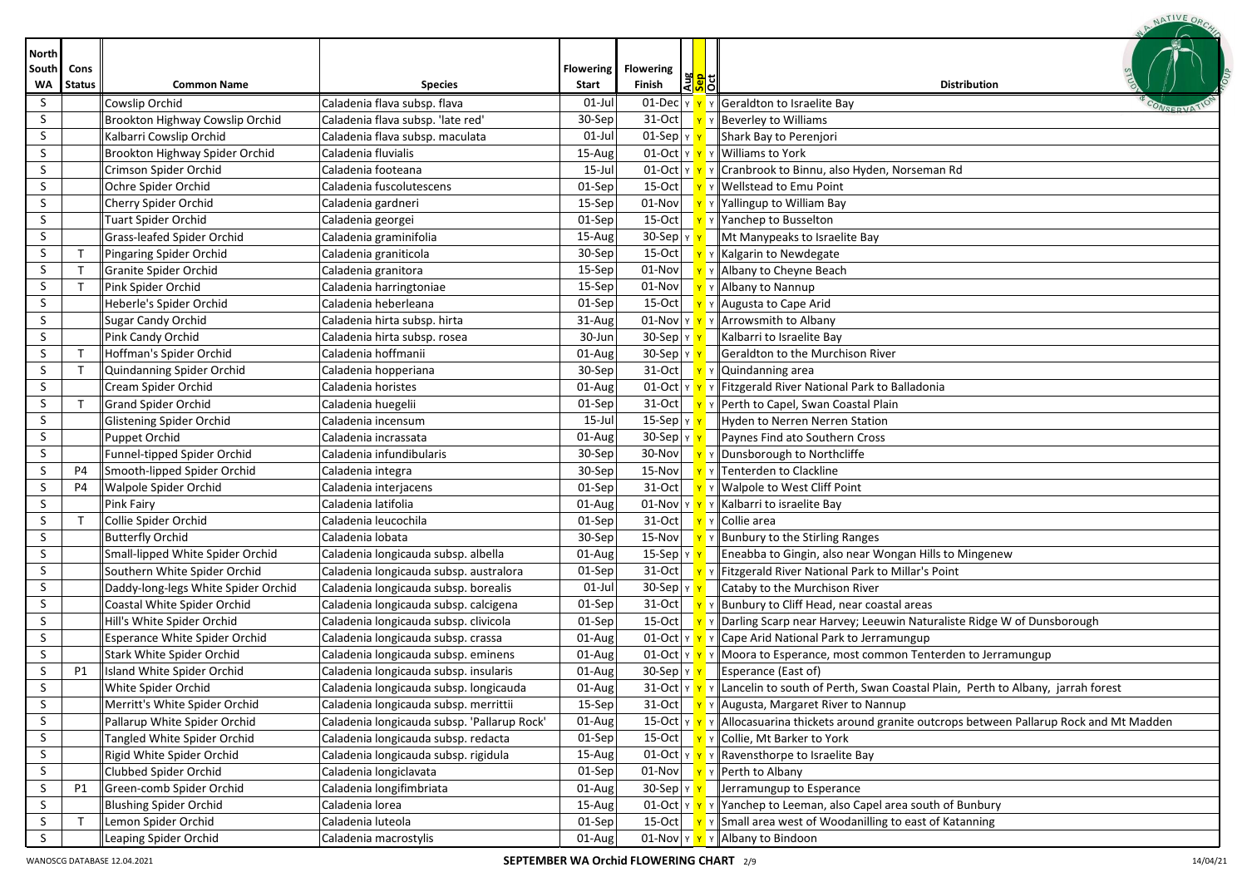| <b>North</b> |               |                                     |                                             |                  |                                                   |                                                                                                                              |
|--------------|---------------|-------------------------------------|---------------------------------------------|------------------|---------------------------------------------------|------------------------------------------------------------------------------------------------------------------------------|
| South        | Cons          |                                     |                                             | <b>Flowering</b> | <b>Flowering</b>                                  |                                                                                                                              |
| WA           | <b>Status</b> | <b>Common Name</b>                  | <b>Species</b>                              | Start            | 꽃 <mark>위</mark> 리<br>Finish                      | <b>Distribution</b>                                                                                                          |
| S            |               | Cowslip Orchid                      | Caladenia flava subsp. flava                | $01$ -Jul        |                                                   | 01-Dec $\ v\ $ $\ v\ $ Geraldton to Israelite Bay                                                                            |
| S            |               | Brookton Highway Cowslip Orchid     | Caladenia flava subsp. 'late red'           | 30-Sep           |                                                   | 31-Oct $\mathbf{v} \times \mathbf{B}$ $\mathbf{v}$ Beverley to Williams                                                      |
| S            |               | Kalbarri Cowslip Orchid             | Caladenia flava subsp. maculata             | $01$ -Jul        | $01$ -Sep $\vert$ $\vert$ $\vert$ $\vert$ $\vert$ | Shark Bay to Perenjori                                                                                                       |
| S            |               | Brookton Highway Spider Orchid      | Caladenia fluvialis                         | 15-Aug           |                                                   | 01-Oct $\  \mathbf{v} \  \mathbf{v} \ $ Williams to York                                                                     |
| S            |               | Crimson Spider Orchid               | Caladenia footeana                          | 15-Jul           |                                                   | 01-Oct   Y   Y    Cranbrook to Binnu, also Hyden, Norseman Rd                                                                |
| S            |               | Ochre Spider Orchid                 | Caladenia fuscolutescens                    | 01-Sep           |                                                   | 15-Oct $\mathbf{v}$ $\mathbf{v}$ Wellstead to Emu Point                                                                      |
| S            |               | Cherry Spider Orchid                | Caladenia gardneri                          | 15-Sep           |                                                   | $\boxed{01-Nov}$ $\boxed{Y}$ Y Yallingup to William Bay                                                                      |
| S            |               | <b>Tuart Spider Orchid</b>          | Caladenia georgei                           | 01-Sep           |                                                   | 15-Oct $\mathbf{v}$ $\mathbf{v}$ Y Yanchep to Busselton                                                                      |
| S            |               | Grass-leafed Spider Orchid          | Caladenia graminifolia                      | 15-Aug           | 30-Sep $\vert$ Y $\vert$ Y                        | Mt Manypeaks to Israelite Bay                                                                                                |
| S.           |               | Pingaring Spider Orchid             | Caladenia graniticola                       | 30-Sep           |                                                   | 15-Oct $\mathbf{v}$ $\mathbf{v}$ Kalgarin to Newdegate                                                                       |
| S            |               | Granite Spider Orchid               | Caladenia granitora                         | 15-Sep           | 01-Nov                                            | Y Y Albany to Cheyne Beach                                                                                                   |
| S            | $\mathsf T$   | Pink Spider Orchid                  | Caladenia harringtoniae                     | 15-Sep           | 01-Nov                                            | Y Y Albany to Nannup                                                                                                         |
| S            |               | Heberle's Spider Orchid             | Caladenia heberleana                        | 01-Sep           |                                                   | 15-Oct $\mathsf{Y}$ $\mathsf{Y}$ Augusta to Cape Arid                                                                        |
| S            |               | <b>Sugar Candy Orchid</b>           | Caladenia hirta subsp. hirta                | 31-Aug           |                                                   | 01-Nov $\mathbf{v} \times \mathbf{v}$ Y Arrowsmith to Albany                                                                 |
| S            |               | Pink Candy Orchid                   | Caladenia hirta subsp. rosea                | 30-Jun           | $30-$ Sep $\vert \vee \vert \vee \vert$           | Kalbarri to Israelite Bay                                                                                                    |
| S            | T             | Hoffman's Spider Orchid             | Caladenia hoffmanii                         | 01-Aug           | $30-$ Sep $\vert \vee \vert \vee \vert$           | Geraldton to the Murchison River                                                                                             |
| S            | $\mathsf{T}$  | Quindanning Spider Orchid           | Caladenia hopperiana                        | 30-Sep           |                                                   | 31-Oct $\mathbf{v} \times \mathbf{Q}$ v Quindanning area                                                                     |
| S            |               | Cream Spider Orchid                 | Caladenia horistes                          | 01-Aug           |                                                   | 01-Oct $\ v\ $ $\ v\ $ Fitzgerald River National Park to Balladonia                                                          |
| S            | T             | <b>Grand Spider Orchid</b>          | Caladenia huegelii                          | 01-Sep           | $31-Oct$ $v$                                      | Y Perth to Capel, Swan Coastal Plain                                                                                         |
| S            |               | <b>Glistening Spider Orchid</b>     | Caladenia incensum                          | 15-Jul           | 15-Sep $ y $                                      | Hyden to Nerren Nerren Station                                                                                               |
| S            |               | Puppet Orchid                       | Caladenia incrassata                        | 01-Aug           | $30-Sep$ $v$                                      | Paynes Find ato Southern Cross                                                                                               |
| S            |               | Funnel-tipped Spider Orchid         | Caladenia infundibularis                    | $30-$ Sep        | 30-Nov $\sqrt{y}$                                 | Y Dunsborough to Northcliffe                                                                                                 |
| S            | P4            | Smooth-lipped Spider Orchid         | Caladenia integra                           | 30-Sep           | $15-Nov$                                          | Y Y Tenterden to Clackline                                                                                                   |
| S            | P4            | Walpole Spider Orchid               | Caladenia interjacens                       | 01-Sep           |                                                   | $\overline{31\text{-}Oct}$ $\overline{Y}$ $\overline{Y}$ Walpole to West Cliff Point                                         |
| S            |               | Pink Fairy                          | Caladenia latifolia                         | 01-Aug           |                                                   | 01-Nov $\sqrt{Y}$ $\sqrt{Y}$ Kalbarri to israelite Bay                                                                       |
| S            | $\mathsf{T}$  | Collie Spider Orchid                | Caladenia leucochila                        | 01-Sep           |                                                   | 31-Oct $\mathbf{v}$ $\mathbf{v}$ Collie area                                                                                 |
| S            |               | <b>Butterfly Orchid</b>             | Caladenia lobata                            | 30-Sep           |                                                   | 15-Nov $\mathbf{v} \times \mathbf{v}$ Planbury to the Stirling Ranges                                                        |
| S            |               | Small-lipped White Spider Orchid    | Caladenia longicauda subsp. albella         | 01-Aug           | 15-Sep   γ <mark>  γ</mark>                       | Eneabba to Gingin, also near Wongan Hills to Mingenew                                                                        |
| S            |               | Southern White Spider Orchid        | Caladenia longicauda subsp. australora      | $01-Sep$         |                                                   | 31-Oct   Y Y   Fitzgerald River National Park to Millar's Point                                                              |
| S            |               | Daddy-long-legs White Spider Orchid | Caladenia longicauda subsp. borealis        | $01$ -Jul        | $30-$ Sep $\frac{1}{x}$                           | Cataby to the Murchison River                                                                                                |
| S            |               | Coastal White Spider Orchid         | Caladenia longicauda subsp. calcigena       | 01-Sep           |                                                   | 31-Oct $\ \mathbf{v}\ $ Y Bunbury to Cliff Head, near coastal areas                                                          |
| S            |               | Hill's White Spider Orchid          | Caladenia longicauda subsp. clivicola       | 01-Sep           |                                                   | 15-Oct   <b>Y</b> Y   Darling Scarp near Harvey; Leeuwin Naturaliste Ridge W of Dunsborough                                  |
| S            |               | Esperance White Spider Orchid       | Caladenia longicauda subsp. crassa          | 01-Aug           |                                                   | 01-Oct $\ v\ $ $\ v\ $ Cape Arid National Park to Jerramungup                                                                |
| S            |               | Stark White Spider Orchid           | Caladenia longicauda subsp. eminens         | 01-Aug           |                                                   | 01-Oct $\ v\ $ $\ v\ $ Moora to Esperance, most common Tenterden to Jerramungup                                              |
| S            | P1            | Island White Spider Orchid          | Caladenia longicauda subsp. insularis       | 01-Aug           | $30$ -Sep $\vert \text{y} \vert \text{y}$         | Esperance (East of)                                                                                                          |
| S.           |               | White Spider Orchid                 | Caladenia longicauda subsp. longicauda      | 01-Aug           |                                                   | 31-Oct $\ v\ $ $\ v\ $ Lancelin to south of Perth, Swan Coastal Plain, Perth to Albany, jarrah forest                        |
| S            |               | Merritt's White Spider Orchid       | Caladenia longicauda subsp. merrittii       | 15-Sep           |                                                   | 31-Oct   Y   Augusta, Margaret River to Nannup                                                                               |
| S            |               | Pallarup White Spider Orchid        | Caladenia longicauda subsp. 'Pallarup Rock' | 01-Aug           |                                                   | 15-Oct $\  \mathbf{v} \ $ $\mathbf{v} \ $ Allocasuarina thickets around granite outcrops between Pallarup Rock and Mt Madden |
| S            |               | Tangled White Spider Orchid         | Caladenia longicauda subsp. redacta         | 01-Sep           |                                                   | 15-Oct   Y Y Collie, Mt Barker to York                                                                                       |
| S            |               | Rigid White Spider Orchid           | Caladenia longicauda subsp. rigidula        | 15-Aug           |                                                   | 01-Oct $\mathbf{v} \times \mathbf{v}$ × Ravensthorpe to Israelite Bay                                                        |
| S            |               | Clubbed Spider Orchid               | Caladenia longiclavata                      | 01-Sep           |                                                   | $\boxed{01\text{-Nov}}$ $\boxed{Y}$ $\boxed{Y}$ Perth to Albany                                                              |
| S            | P1            | Green-comb Spider Orchid            | Caladenia longifimbriata                    | 01-Aug           |                                                   | 30-Sep $\ v\ $   Jerramungup to Esperance                                                                                    |
| S            |               | <b>Blushing Spider Orchid</b>       | Caladenia lorea                             | 15-Aug           |                                                   | 01-Oct $\ v\ $ $\ v\ $ Yanchep to Leeman, also Capel area south of Bunbury                                                   |
| S            | т             | Lemon Spider Orchid                 | Caladenia luteola                           | 01-Sep           |                                                   | 15-Oct $\ \mathbf{v}\ $ $\mathbf{v}\ $ Small area west of Woodanilling to east of Katanning                                  |
| S            |               | Leaping Spider Orchid               | Caladenia macrostylis                       | 01-Aug           |                                                   | 01-Nov $\mathbf{v}$ $\mathbf{v}$ $\mathbf{v}$ Albany to Bindoon                                                              |

NATIVE ORO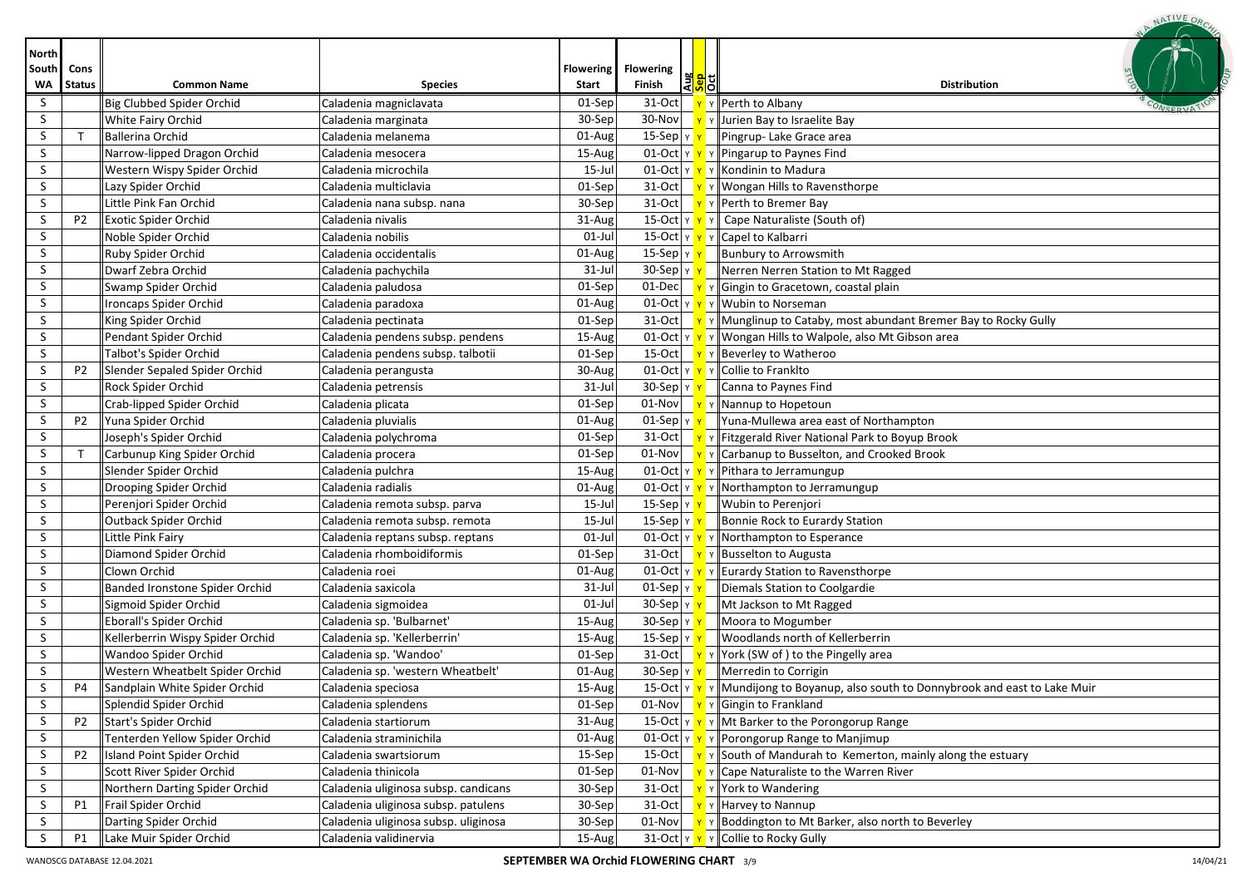| <b>North</b> |                |                                  |                                      |                  |                                                  |                                                                                                                 |
|--------------|----------------|----------------------------------|--------------------------------------|------------------|--------------------------------------------------|-----------------------------------------------------------------------------------------------------------------|
| South        | Cons           |                                  |                                      | <b>Flowering</b> | <b>Flowering</b>                                 |                                                                                                                 |
| WA           | <b>Status</b>  | <b>Common Name</b>               | <b>Species</b>                       | Start            | 용 <mark>해</mark><br>Finish                       | <b>Distribution</b>                                                                                             |
| S            |                | Big Clubbed Spider Orchid        | Caladenia magniclavata               | 01-Sep           | $31-Oct$                                         | $\mathbf{v}$ Y Perth to Albany                                                                                  |
| S            |                | White Fairy Orchid               | Caladenia marginata                  | 30-Sep           |                                                  | 30-Nov $\mathbf{v}$ $\mathbf{v}$ $\mathbf{v}$ Jurien Bay to Israelite Bay                                       |
| S            | $\mathsf T$    | <b>Ballerina Orchid</b>          | Caladenia melanema                   | 01-Aug           | 15-Sep $\vert \texttt{Y} \vert \texttt{Y} \vert$ | Pingrup-Lake Grace area                                                                                         |
| S            |                | Narrow-lipped Dragon Orchid      | Caladenia mesocera                   | $15 - Aug$       |                                                  | 01-Oct $\ v\ $ $\ v\ $ Pingarup to Paynes Find                                                                  |
| S            |                | Western Wispy Spider Orchid      | Caladenia microchila                 | 15-Jul           |                                                  | 01-Oct $\mathbf{v} \times \mathbf{v}$ Y Kondinin to Madura                                                      |
| S            |                | Lazy Spider Orchid               | Caladenia multiclavia                | 01-Sep           |                                                  | 31-Oct $\mathbf{v} \times \mathbf{v}$ Wongan Hills to Ravensthorpe                                              |
| S            |                | Little Pink Fan Orchid           | Caladenia nana subsp. nana           | 30-Sep           |                                                  | 31-Oct $\mathbf{v} \times \mathbf{v}$ Perth to Bremer Bay                                                       |
| S            | P <sub>2</sub> | <b>Exotic Spider Orchid</b>      | Caladenia nivalis                    | 31-Aug           |                                                  | 15-Oct $\mathbf{v} \times \mathbf{v}$ $\mathbf{v}$ Cape Naturaliste (South of)                                  |
| S            |                | Noble Spider Orchid              | Caladenia nobilis                    | $01$ -Jul        |                                                  | 15-Oct $\mathbf{v} \times \mathbf{v}$ Y Capel to Kalbarri                                                       |
| S            |                | Ruby Spider Orchid               | Caladenia occidentalis               | 01-Aug           | 15-Sep Y Y                                       | Bunbury to Arrowsmith                                                                                           |
| S            |                | Dwarf Zebra Orchid               | Caladenia pachychila                 | $31$ -Jul        | $30-$ Sep $\vert$ Y $\vert$ Y                    | Nerren Nerren Station to Mt Ragged                                                                              |
| S            |                | Swamp Spider Orchid              | Caladenia paludosa                   | 01-Sep           |                                                  | 01-Dec $\mathbf{v}$ $\mathbf{v}$ $\mathbf{v}$ Gingin to Gracetown, coastal plain                                |
| S            |                | Ironcaps Spider Orchid           | Caladenia paradoxa                   | 01-Aug           |                                                  | 01-Oct $\mathbf{v} \times \mathbf{v}$ Y Wubin to Norseman                                                       |
| S            |                | King Spider Orchid               | Caladenia pectinata                  | $01$ -Sep        |                                                  | 31-Oct $\mathbf{v} \times \mathbf{w}$ $\mathbf{v}$ Munglinup to Cataby, most abundant Bremer Bay to Rocky Gully |
| S.           |                | Pendant Spider Orchid            | Caladenia pendens subsp. pendens     | 15-Aug           |                                                  | 01-Oct   Y   Y   Wongan Hills to Walpole, also Mt Gibson area                                                   |
| S            |                | Talbot's Spider Orchid           | Caladenia pendens subsp. talbotii    | 01-Sep           |                                                  | 15-Oct $\mathbf{v}$ $\mathbf{v}$ Beverley to Watheroo                                                           |
| S            | P <sub>2</sub> | Slender Sepaled Spider Orchid    | Caladenia perangusta                 | 30-Aug           |                                                  | 01-Oct $\mathbf{v} \times \mathbf{v}$ $\mathbf{v}$ Collie to Franklto                                           |
| S            |                | Rock Spider Orchid               | Caladenia petrensis                  | $31$ -Jul        | $30-Sep y y$                                     | Canna to Paynes Find                                                                                            |
| S            |                | Crab-lipped Spider Orchid        | Caladenia plicata                    | 01-Sep           |                                                  | 01-Nov $\mathbf{v}$ $\mathbf{v}$ $\mathbf{v}$ Nannup to Hopetoun                                                |
| S.           | P <sub>2</sub> | Yuna Spider Orchid               | Caladenia pluvialis                  | 01-Aug           | $01-Sep y y$                                     | Yuna-Mullewa area east of Northampton                                                                           |
| S            |                | Joseph's Spider Orchid           | Caladenia polychroma                 | 01-Sep           |                                                  | 31-Oct   <b>Y</b> Y Fitzgerald River National Park to Boyup Brook                                               |
| S            | $\top$         | Carbunup King Spider Orchid      | Caladenia procera                    | 01-Sep           |                                                  | 01-Nov $\mathbf{v} \times \mathbf{C}$ arbanup to Busselton, and Crooked Brook                                   |
| S            |                | Slender Spider Orchid            | Caladenia pulchra                    | 15-Aug           |                                                  | 01-Oct $\mathbf{v} \times \mathbf{v}$ Pithara to Jerramungup                                                    |
| S            |                | Drooping Spider Orchid           | Caladenia radialis                   | 01-Aug           |                                                  | 01-Oct $\mathbf{v} \times \mathbf{v}$ Y Northampton to Jerramungup                                              |
| S            |                | Perenjori Spider Orchid          | Caladenia remota subsp. parva        | 15-Jul           | 15-Sep $\vert$ Y $\vert$                         | Wubin to Perenjori                                                                                              |
| S            |                | Outback Spider Orchid            | Caladenia remota subsp. remota       | $15$ -Jul        | 15-Sep   γ <mark>  γ</mark>                      | Bonnie Rock to Eurardy Station                                                                                  |
| S            |                | Little Pink Fairy                | Caladenia reptans subsp. reptans     | $01-Jul$         | $01$ -Oct $y$                                    | Y Northampton to Esperance                                                                                      |
| S.           |                | Diamond Spider Orchid            | Caladenia rhomboidiformis            | 01-Sep           | 31-Oct $\frac{1}{x}$                             | Y Busselton to Augusta                                                                                          |
| S            |                | Clown Orchid                     | Caladenia roei                       | 01-Aug           | $01$ -Oct $\vert$ Y $\vert$ Y                    | Y Eurardy Station to Ravensthorpe                                                                               |
| S            |                | Banded Ironstone Spider Orchid   | Caladenia saxicola                   | $31$ -Jul        | $01-Sep$ $y$                                     | Diemals Station to Coolgardie                                                                                   |
| S            |                | Sigmoid Spider Orchid            | Caladenia sigmoidea                  | $01$ -Jul        | 30-Sep Y                                         | Mt Jackson to Mt Ragged                                                                                         |
| S            |                | Eborall's Spider Orchid          | Caladenia sp. 'Bulbarnet'            | 15-Aug           | 30-Sep Y                                         | Moora to Mogumber                                                                                               |
| S            |                | Kellerberrin Wispy Spider Orchid | Caladenia sp. 'Kellerberrin'         | 15-Aug           | 15-Sep Y Y                                       | Woodlands north of Kellerberrin                                                                                 |
| S            |                | Wandoo Spider Orchid             | Caladenia sp. 'Wandoo'               | 01-Sep           | $31-Oct$ $v$                                     | Y York (SW of) to the Pingelly area                                                                             |
| S            |                | Western Wheatbelt Spider Orchid  | Caladenia sp. 'western Wheatbelt'    | 01-Aug           | $30-$ Sep $\frac{1}{x}$                          | Merredin to Corrigin                                                                                            |
| $\varsigma$  | P4             | Sandplain White Spider Orchid    | Caladenia speciosa                   | 15-Aug           |                                                  | 15-Oct $\ v\ $ $\mathbf{Y}$ $\ v\ $ Mundijong to Boyanup, also south to Donnybrook and east to Lake Muir        |
| S            |                | Splendid Spider Orchid           | Caladenia splendens                  | 01-Sep           |                                                  | 01-Nov $\mathbf{v} \times \mathbf{G}$ Y Gingin to Frankland                                                     |
| S            | P <sub>2</sub> | Start's Spider Orchid            | Caladenia startiorum                 | 31-Aug           |                                                  | 15-Oct $\ v\ $ $\ v\ $ Mt Barker to the Porongorup Range                                                        |
| $\sf S$      |                | Tenterden Yellow Spider Orchid   | Caladenia straminichila              | 01-Aug           |                                                  | 01-Oct $\mathbf{v} \times \mathbf{v}$ Y Porongorup Range to Manjimup                                            |
| S            | P <sub>2</sub> | Island Point Spider Orchid       | Caladenia swartsiorum                | 15-Sep           |                                                  | 15-Oct $\ \mathbf{v}\ $ $\mathbf{v}\ $ South of Mandurah to Kemerton, mainly along the estuary                  |
| S            |                | Scott River Spider Orchid        | Caladenia thinicola                  | 01-Sep           |                                                  | 01-Nov $\mathbf{v} \times \mathbf{v}$ $\mathbf{v}$ Cape Naturaliste to the Warren River                         |
| S.           |                | Northern Darting Spider Orchid   | Caladenia uliginosa subsp. candicans | 30-Sep           |                                                  | 31-Oct $\mathbf{v} \times \mathbf{v}$ York to Wandering                                                         |
| S            | P1             | Frail Spider Orchid              | Caladenia uliginosa subsp. patulens  | 30-Sep           |                                                  | $\overline{31}$ -Oct $\overline{Y}$ $\overline{Y}$ Harvey to Nannup                                             |
| S            |                | Darting Spider Orchid            | Caladenia uliginosa subsp. uliginosa | 30-Sep           |                                                  | 01-Nov $\mathbf{v} \times \mathbf{B}$ Y Boddington to Mt Barker, also north to Beverley                         |
| S            | <b>P1</b>      | Lake Muir Spider Orchid          | Caladenia validinervia               | 15-Aug           |                                                  | 31-Oct $\ $ $\mathsf{Y}$ $\ $ $\mathsf{Y}$ $\ $ Collie to Rocky Gully                                           |

NATIVE ORO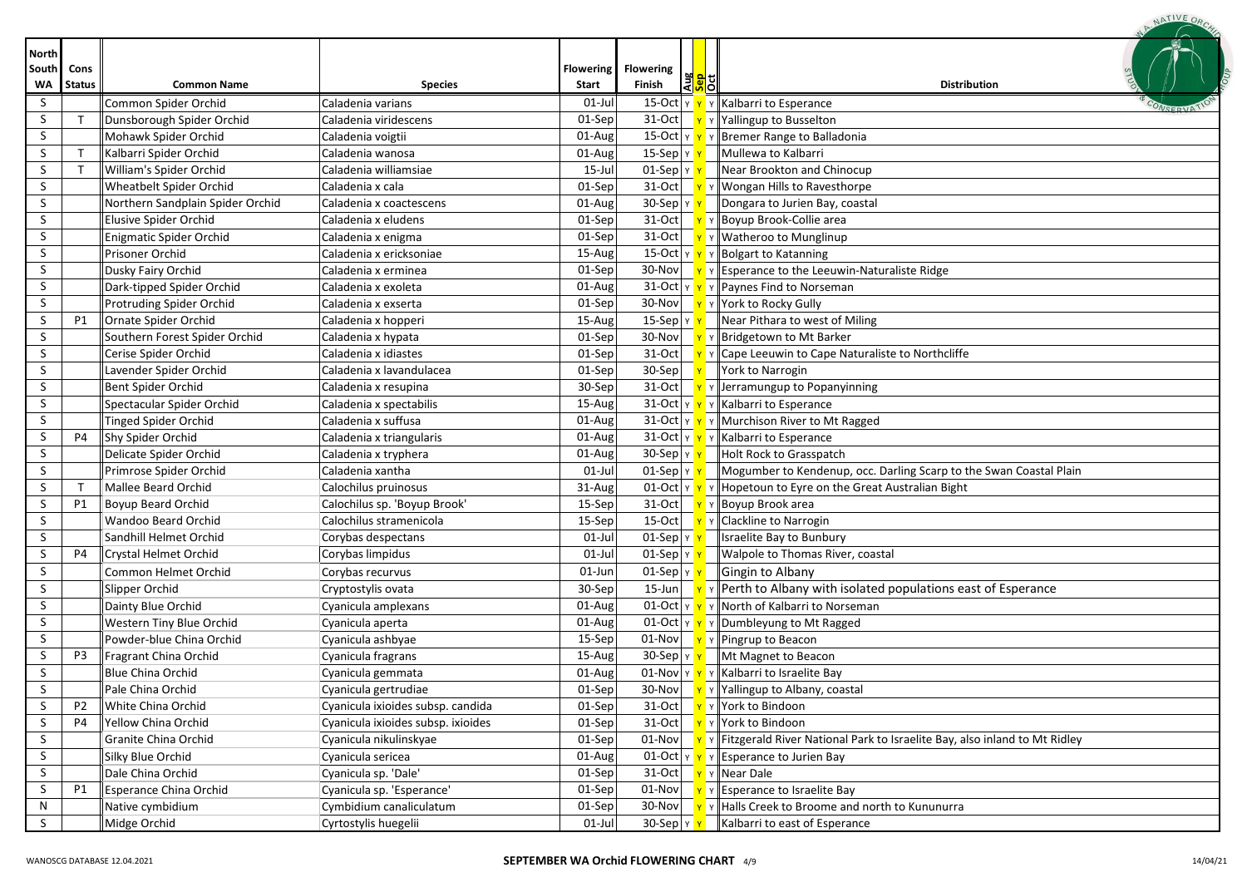|                                    |                       |                                  |                                    |                           |                                                |                    | NATIVE OR                                                                                                       |
|------------------------------------|-----------------------|----------------------------------|------------------------------------|---------------------------|------------------------------------------------|--------------------|-----------------------------------------------------------------------------------------------------------------|
| <b>North</b><br>South<br><b>WA</b> | Cons<br><b>Status</b> | <b>Common Name</b>               | <b>Species</b>                     | <b>Flowering</b><br>Start | <b>Flowering</b><br>Finish                     | 果 <mark>이</mark> 이 | <b>Distribution</b>                                                                                             |
| S                                  |                       | Common Spider Orchid             | Caladenia varians                  | $01$ -Jul                 | $15$ -Oct $ v $                                |                    | Y Kalbarri to Esperance                                                                                         |
| S                                  | T                     | Dunsborough Spider Orchid        | Caladenia viridescens              | 01-Sep                    | 31-Oct                                         |                    | Y Yallingup to Busselton                                                                                        |
| S                                  |                       | Mohawk Spider Orchid             | Caladenia voigtii                  | 01-Aug                    | 15-Oct $ v $                                   |                    | Bremer Range to Balladonia                                                                                      |
| S                                  | $\top$                | Kalbarri Spider Orchid           | Caladenia wanosa                   | 01-Aug                    | 15-Sep $\vert$ Y                               |                    | Mullewa to Kalbarri                                                                                             |
| S                                  | т                     | William's Spider Orchid          | Caladenia williamsiae              | 15-Jul                    | $01-Sep$ $y$                                   |                    | Near Brookton and Chinocup                                                                                      |
| S                                  |                       | Wheatbelt Spider Orchid          | Caladenia x cala                   | 01-Sep                    | 31-Oct                                         |                    | Y   Wongan Hills to Ravesthorpe                                                                                 |
| S                                  |                       | Northern Sandplain Spider Orchid | Caladenia x coactescens            | 01-Aug                    | 30-Sep   Y <mark>'</mark>                      |                    | Dongara to Jurien Bay, coastal                                                                                  |
| S                                  |                       | Elusive Spider Orchid            | Caladenia x eludens                | 01-Sep                    | 31-Oct                                         |                    | Boyup Brook-Collie area                                                                                         |
| S                                  |                       | Enigmatic Spider Orchid          | Caladenia x enigma                 | 01-Sep                    | $31-Oct$                                       |                    | v    Watheroo to Munglinup                                                                                      |
| S                                  |                       | Prisoner Orchid                  | Caladenia x ericksoniae            | 15-Aug                    | 15-Oct Y Y                                     |                    | $\mathbf{v}$ Bolgart to Katanning                                                                               |
| S                                  |                       | Dusky Fairy Orchid               | Caladenia x erminea                | 01-Sep                    | 30-Nov                                         |                    | $\mathbf{v}$ $\mathbf{v}$ Esperance to the Leeuwin-Naturaliste Ridge                                            |
| S                                  |                       | Dark-tipped Spider Orchid        | Caladenia x exoleta                | 01-Aug                    |                                                |                    | 31-Oct $\mathbf{v} \times \mathbf{v}$ $\mathbf{v}$ Paynes Find to Norseman                                      |
| S                                  |                       | Protruding Spider Orchid         | Caladenia x exserta                | 01-Sep                    |                                                |                    | 30-Nov $\mathbf{v} \times \mathbf{v}$ Y York to Rocky Gully                                                     |
| S                                  | P1                    | Ornate Spider Orchid             | Caladenia x hopperi                | 15-Aug                    | 15-Sep $\vert$ $\vert$ $\vert$ $\vert$ $\vert$ |                    | Near Pithara to west of Miling                                                                                  |
| S                                  |                       | Southern Forest Spider Orchid    | Caladenia x hypata                 | 01-Sep                    | 30-Nov                                         |                    | <mark>Y</mark> Y Bridgetown to Mt Barker                                                                        |
| S                                  |                       | Cerise Spider Orchid             | Caladenia x idiastes               | 01-Sep                    | 31-Oct                                         |                    | $\mathbf{v}$ $\mathbf{v}$ Cape Leeuwin to Cape Naturaliste to Northcliffe                                       |
| S                                  |                       | Lavender Spider Orchid           | Caladenia x lavandulacea           | 01-Sep                    | 30-Sep                                         |                    | York to Narrogin                                                                                                |
| S                                  |                       | Bent Spider Orchid               | Caladenia x resupina               | 30-Sep                    | 31-Oct                                         |                    | Y Jerramungup to Popanyinning                                                                                   |
| S                                  |                       | Spectacular Spider Orchid        | Caladenia x spectabilis            | 15-Aug                    |                                                |                    | 31-Oct $\mathbf{v} \times \mathbf{v}$ Kalbarri to Esperance                                                     |
| S                                  |                       | <b>Tinged Spider Orchid</b>      | Caladenia x suffusa                | 01-Aug                    |                                                |                    | 31-Oct $\mathbf{v} \times \mathbf{v}$ Murchison River to Mt Ragged                                              |
| S                                  | P4                    | Shy Spider Orchid                | Caladenia x triangularis           | 01-Aug                    | $31$ -Oct $\frac{1}{11}$                       |                    | ■ Y Kalbarri to Esperance                                                                                       |
| S                                  |                       | Delicate Spider Orchid           | Caladenia x tryphera               | 01-Aug                    | $30-Sep$ $y$                                   |                    | Holt Rock to Grasspatch                                                                                         |
| S                                  |                       | Primrose Spider Orchid           | Caladenia xantha                   | 01-Jul                    | $01-Sep y $                                    |                    | Mogumber to Kendenup, occ. Darling Scarp to the Swan Coastal Plain                                              |
| S                                  | т                     | Mallee Beard Orchid              | Calochilus pruinosus               | 31-Aug                    |                                                |                    | 01-Oct $\ v\ $ $\ v\ $ Hopetoun to Eyre on the Great Australian Bight                                           |
| S                                  | <b>P1</b>             | <b>Boyup Beard Orchid</b>        | Calochilus sp. 'Boyup Brook'       | 15-Sep                    | 31-Oct                                         |                    | Y Boyup Brook area                                                                                              |
| S                                  |                       | Wandoo Beard Orchid              | Calochilus stramenicola            | 15-Sep                    | $15-Oct$                                       |                    | Y Clackline to Narrogin                                                                                         |
| S                                  |                       | Sandhill Helmet Orchid           | Corybas despectans                 | 01-Jul                    | $01-Sep$ $y$                                   |                    | Israelite Bay to Bunbury                                                                                        |
| S                                  | P4                    | Crystal Helmet Orchid            | Corybas limpidus                   | 01-Jul                    | $01-Sep$ $y$                                   |                    | Walpole to Thomas River, coastal                                                                                |
| S                                  |                       | Common Helmet Orchid             | Corybas recurvus                   | 01-Jun                    | $01-Sep$ $v$                                   |                    | Gingin to Albany                                                                                                |
| S                                  |                       | Slipper Orchid                   | Cryptostylis ovata                 | 30-Sep                    | $15$ -Jun                                      |                    | $\mathbf{v}$ $\mathbf{v}$ Perth to Albany with isolated populations east of Esperance                           |
| S                                  |                       | Dainty Blue Orchid               | Cyanicula amplexans                | 01-Aug                    | $01$ -Oct $\vert$ Y $\vert$ Y                  |                    | Y North of Kalbarri to Norseman                                                                                 |
| S                                  |                       | Western Tiny Blue Orchid         | Cyanicula aperta                   | 01-Aug                    |                                                |                    | 01-Oct $\ v\ $ $\ v\ $ Dumbleyung to Mt Ragged                                                                  |
| S                                  |                       | Powder-blue China Orchid         | Cyanicula ashbyae                  | 15-Sep                    | 01-Nov                                         |                    | γ   Pingrup to Beacon                                                                                           |
| S                                  | P <sub>3</sub>        | Fragrant China Orchid            | Cyanicula fragrans                 | 15-Aug                    | $30$ -Sep $\vert \text{y} \vert \text{y}$      |                    | Mt Magnet to Beacon                                                                                             |
| $\varsigma$                        |                       | <b>Blue China Orchid</b>         | Cyanicula gemmata                  | $01$ -Aug                 |                                                |                    | 01-Nov $\mathbf{v} \times \mathbf{v}$ Y Kalbarri to Israelite Bay                                               |
| S                                  |                       | Pale China Orchid                | Cyanicula gertrudiae               | 01-Sep                    |                                                |                    | 30-Nov $\mathbf{v} \times \mathbf{v}$ Yallingup to Albany, coastal                                              |
| S.                                 | P <sub>2</sub>        | White China Orchid               | Cyanicula ixioides subsp. candida  | 01-Sep                    | $31-Oct$                                       |                    | <mark>Y</mark> Y York to Bindoon                                                                                |
| S                                  | P4                    | Yellow China Orchid              | Cyanicula ixioides subsp. ixioides | 01-Sep                    | $31-Oct$                                       |                    | <mark>Y</mark> Y York to Bindoon                                                                                |
| S                                  |                       | Granite China Orchid             | Cyanicula nikulinskyae             | 01-Sep                    |                                                |                    | 01-Nov $\mathbf{v} \times \mathbf{v}$ Fitzgerald River National Park to Israelite Bay, also inland to Mt Ridley |
| S                                  |                       | Silky Blue Orchid                | Cyanicula sericea                  | 01-Aug                    |                                                |                    | 01-Oct $\ $ $\mathbf{v}$ $\ $ $\mathbf{v}$ $\ $ Esperance to Jurien Bay                                         |
| S                                  |                       | Dale China Orchid                | Cyanicula sp. 'Dale'               | 01-Sep                    |                                                |                    | 31-Oct $\mathbf{v} \times \mathbf{R}$ Y Near Dale                                                               |
| S                                  | P1                    | Esperance China Orchid           | Cyanicula sp. 'Esperance'          | 01-Sep                    |                                                |                    | 01-Nov $\mathbf{v} \times \mathbf{F}$ $\mathbf{v}$ Esperance to Israelite Bay                                   |
| N                                  |                       | Native cymbidium                 | Cymbidium canaliculatum            | 01-Sep                    |                                                |                    | 30-Nov $\mathbf{v} \times \mathbf{v}$ + Halls Creek to Broome and north to Kununurra                            |
| S                                  |                       | Midge Orchid                     | Cyrtostylis huegelii               | 01-Jul                    | $30$ -Sep $\vert \text{y} \vert \text{y}$      |                    | Kalbarri to east of Esperance                                                                                   |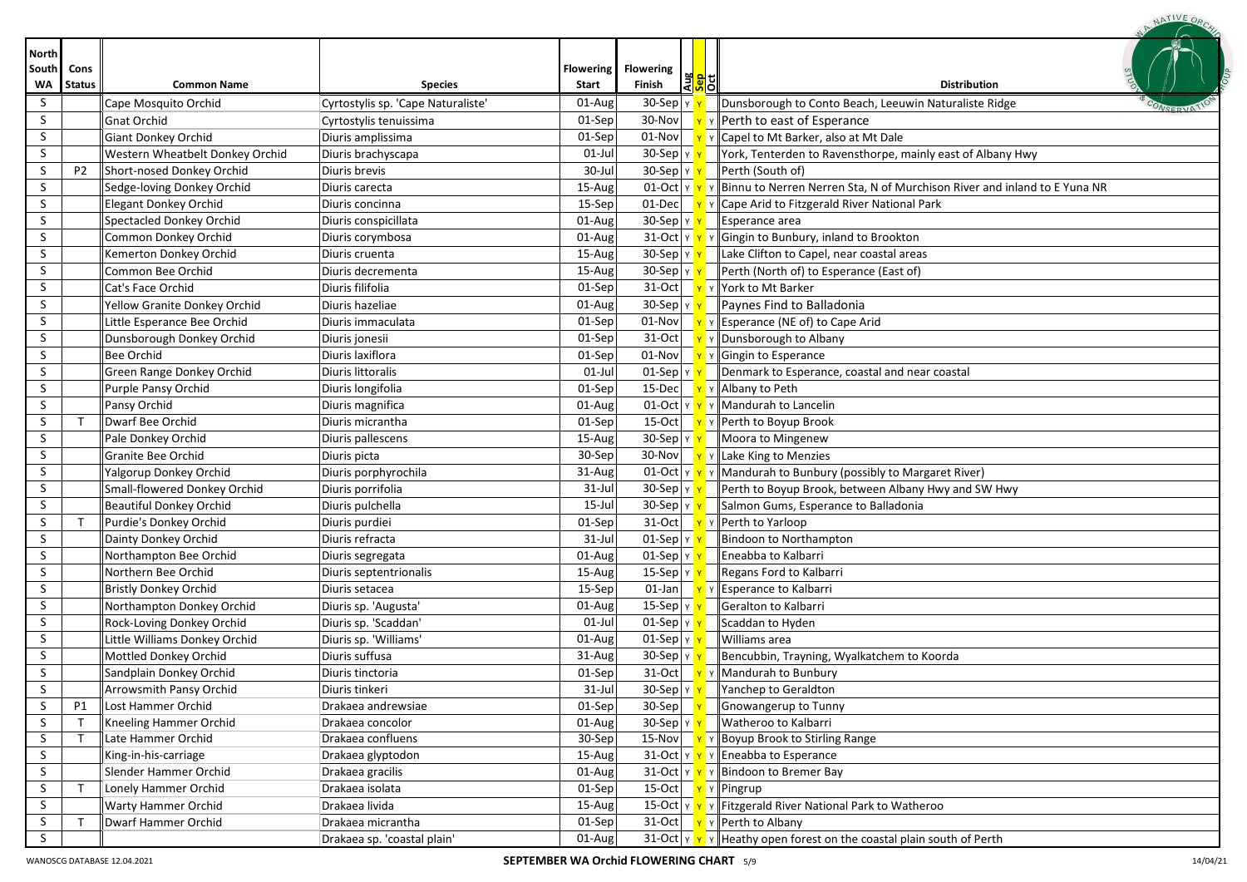|                             |                       |                                 |                                    |                           |                                          |                                        | NATIVE OR                                                                     |
|-----------------------------|-----------------------|---------------------------------|------------------------------------|---------------------------|------------------------------------------|----------------------------------------|-------------------------------------------------------------------------------|
| <b>North</b><br>South<br>W٨ | Cons<br><b>Status</b> | <b>Common Name</b>              | <b>Species</b>                     | <b>Flowering</b><br>Start | <b>Flowering</b><br>Finish               | Au <mark>s</mark><br><mark>Sp</mark> d | <b>Distribution</b>                                                           |
| S                           |                       | Cape Mosquito Orchid            | Cyrtostylis sp. 'Cape Naturaliste' | 01-Aug                    | 30-Sep                                   |                                        | Dunsborough to Conto Beach, Leeuwin Naturaliste Ridge                         |
| S.                          |                       | <b>Gnat Orchid</b>              | Cyrtostylis tenuissima             | 01-Sep                    | 30-Nov                                   |                                        | Y Perth to east of Esperance                                                  |
| S.                          |                       | Giant Donkey Orchid             | Diuris amplissima                  | 01-Sep                    | $01-Nov$                                 |                                        | Capel to Mt Barker, also at Mt Dale                                           |
| S.                          |                       | Western Wheatbelt Donkey Orchid | Diuris brachyscapa                 | $01$ -Jul                 | $30-Sep$ $y$                             |                                        | York, Tenterden to Ravensthorpe, mainly east of Albany Hwy                    |
| S.                          | P <sub>2</sub>        | Short-nosed Donkey Orchid       | Diuris brevis                      | 30-Jul                    | $30-Sep$ $y$                             |                                        | Perth (South of)                                                              |
| S.                          |                       | Sedge-loving Donkey Orchid      | Diuris carecta                     | 15-Aug                    | $01$ -Oct $\vert$ Y $\vert$ Y            |                                        | Y Binnu to Nerren Nerren Sta, N of Murchison River and inland to E Yuna NR    |
| S.                          |                       | <b>Elegant Donkey Orchid</b>    | Diuris concinna                    | 15-Sep                    | $01$ -Dec                                |                                        | Y Cape Arid to Fitzgerald River National Park                                 |
| S.                          |                       | <b>Spectacled Donkey Orchid</b> | Diuris conspicillata               | 01-Aug                    | $30-Sep$ $y$                             |                                        | Esperance area                                                                |
| S                           |                       | Common Donkey Orchid            | Diuris corymbosa                   | 01-Aug                    |                                          |                                        | 31-Oct $\mathbf{v} \times \mathbf{v}$   Gingin to Bunbury, inland to Brookton |
| S                           |                       | Kemerton Donkey Orchid          | Diuris cruenta                     | 15-Aug                    | 30-Sep $\vert \vee \vert$                |                                        | Lake Clifton to Capel, near coastal areas                                     |
| S                           |                       | Common Bee Orchid               | Diuris decrementa                  | 15-Aug                    | 30-Sep $\frac{1}{x}$                     |                                        | Perth (North of) to Esperance (East of)                                       |
| S                           |                       | Cat's Face Orchid               | Diuris filifolia                   | 01-Sep                    | $31-Oct$                                 |                                        | Y York to Mt Barker                                                           |
| S                           |                       | Yellow Granite Donkey Orchid    | Diuris hazeliae                    | 01-Aug                    | $30-Sep$ $y$                             |                                        | Paynes Find to Balladonia                                                     |
| S                           |                       | Little Esperance Bee Orchid     | Diuris immaculata                  | 01-Sep                    | $01-Nov$                                 |                                        | $\mathbf{v}$ $\mathbf{v}$ Esperance (NE of) to Cape Arid                      |
| S                           |                       | Dunsborough Donkey Orchid       | Diuris jonesii                     | 01-Sep                    | $31-Oct$                                 |                                        | Y Dunsborough to Albany                                                       |
| S                           |                       | Bee Orchid                      | Diuris laxiflora                   | 01-Sep                    | $01-Nov$                                 |                                        | $\mathbf{y}$ y Gingin to Esperance                                            |
| S.                          |                       | Green Range Donkey Orchid       | Diuris littoralis                  | $01$ -Jul                 | $01-Sep y y$                             |                                        | Denmark to Esperance, coastal and near coastal                                |
| S.                          |                       | Purple Pansy Orchid             | Diuris longifolia                  | 01-Sep                    | 15-Dec                                   |                                        | <b>T</b> Y Albany to Peth                                                     |
| S.                          |                       | Pansy Orchid                    | Diuris magnifica                   | 01-Aug                    | $01$ -Oct $ y $                          |                                        | Y Mandurah to Lancelin                                                        |
| S                           | $\mathsf{T}$          | Dwarf Bee Orchid                | Diuris micrantha                   | 01-Sep                    | $15-Oct$                                 |                                        | Y Perth to Boyup Brook                                                        |
| S                           |                       | Pale Donkey Orchid              | Diuris pallescens                  | 15-Aug                    | $30-Sep$ $y$                             |                                        | Moora to Mingenew                                                             |
| S.                          |                       | Granite Bee Orchid              | Diuris picta                       | 30-Sep                    | 30-Nov                                   |                                        | Y Lake King to Menzies                                                        |
| S                           |                       | Yalgorup Donkey Orchid          | Diuris porphyrochila               | 31-Aug                    | $01$ -Oct $y$ $y$                        |                                        | Y Mandurah to Bunbury (possibly to Margaret River)                            |
| S.                          |                       | Small-flowered Donkey Orchid    | Diuris porrifolia                  | $31$ -Jul                 | $30-Sep$ $y$                             |                                        | Perth to Boyup Brook, between Albany Hwy and SW Hwy                           |
| S.                          |                       | Beautiful Donkey Orchid         | Diuris pulchella                   | 15-Jul                    | $30-Sep$ $v$                             |                                        | Salmon Gums, Esperance to Balladonia                                          |
| S                           | $\mathsf{T}$          | Purdie's Donkey Orchid          | Diuris purdiei                     | 01-Sep                    | $31$ -Oct $\overline{y}$                 |                                        | Y Perth to Yarloop                                                            |
| S                           |                       | Dainty Donkey Orchid            | Diuris refracta                    | $31$ -Jul                 | $01-Sep$ $y$                             |                                        | Bindoon to Northampton                                                        |
| S                           |                       | Northampton Bee Orchid          | Diuris segregata                   | 01-Aug                    | $01-Sep$ $y$                             |                                        | Eneabba to Kalbarri                                                           |
| S                           |                       | Northern Bee Orchid             | Diuris septentrionalis             | 15-Aug                    | 15-Sep $\vert$ Y                         |                                        | Regans Ford to Kalbarri                                                       |
| S                           |                       | <b>Bristly Donkey Orchid</b>    | Diuris setacea                     | 15-Sep                    | $01$ -Jan                                |                                        | Esperance to Kalbarri                                                         |
| S                           |                       | Northampton Donkey Orchid       | Diuris sp. 'Augusta'               | 01-Aug                    | 15-Sep $ Y $                             |                                        | Geralton to Kalbarri                                                          |
| S                           |                       | Rock-Loving Donkey Orchid       | Diuris sp. 'Scaddan'               | $01$ -Jul                 | $01-Sep$ $y$                             |                                        | Scaddan to Hyden                                                              |
| S                           |                       | Little Williams Donkey Orchid   | Diuris sp. 'Williams'              | 01-Aug                    | $01-Sep$ Y                               |                                        | Williams area                                                                 |
| S                           |                       | Mottled Donkey Orchid           | Diuris suffusa                     | 31-Aug                    | 30-Sep   γ <mark>  γ</mark>              |                                        | Bencubbin, Trayning, Wyalkatchem to Koorda                                    |
| S                           |                       | Sandplain Donkey Orchid         | Diuris tinctoria                   | 01-Sep                    | $31-Oct$ $v$                             |                                        | Y Mandurah to Bunbury                                                         |
| S.                          |                       | Arrowsmith Pansy Orchid         | Diuris tinkeri                     | $31$ -Jul                 | 30-Sep Y Y                               |                                        | Yanchep to Geraldton                                                          |
| S                           | P1                    | Lost Hammer Orchid              | Drakaea andrewsiae                 | 01-Sep                    | $30-Sep$                                 |                                        | Gnowangerup to Tunny                                                          |
| S                           |                       | Kneeling Hammer Orchid          | Drakaea concolor                   | 01-Aug                    | 30-Sep $\frac{1}{x}$                     |                                        | Watheroo to Kalbarri                                                          |
| S.                          |                       | Late Hammer Orchid              | Drakaea confluens                  | 30-Sep                    | $15-Nov$                                 |                                        | Y Boyup Brook to Stirling Range                                               |
| S.                          |                       | King-in-his-carriage            | Drakaea glyptodon                  | 15-Aug                    |                                          |                                        | 31-Oct $\mathbf{v} \times \mathbf{v}$ Fineabba to Esperance                   |
| S                           |                       | Slender Hammer Orchid           | Drakaea gracilis                   | 01-Aug                    |                                          |                                        | 31-Oct $\mathbf{v} \times \mathbf{v}$   Bindoon to Bremer Bay                 |
| S.                          | $\mathsf{T}$          | Lonely Hammer Orchid            | Drakaea isolata                    | $01-Sep$                  | 15-Oct $\mathbf{v}$ $\mathbf{v}$ Pingrup |                                        |                                                                               |
| S                           |                       | Warty Hammer Orchid             | Drakaea livida                     | 15-Aug                    |                                          |                                        | 15-Oct   Y   Y   Fitzgerald River National Park to Watheroo                   |
| S                           | $\mathsf{T}$          | Dwarf Hammer Orchid             | Drakaea micrantha                  | $01-Sep$                  |                                          |                                        | 31-Oct $\mathbf{v}$ $\mathbf{v}$ Perth to Albany                              |
| S                           |                       |                                 | Drakaea sp. 'coastal plain'        | 01-Aug                    |                                          |                                        | 31-Oct $\ v\ $ $\ v\ $ Heathy open forest on the coastal plain south of Perth |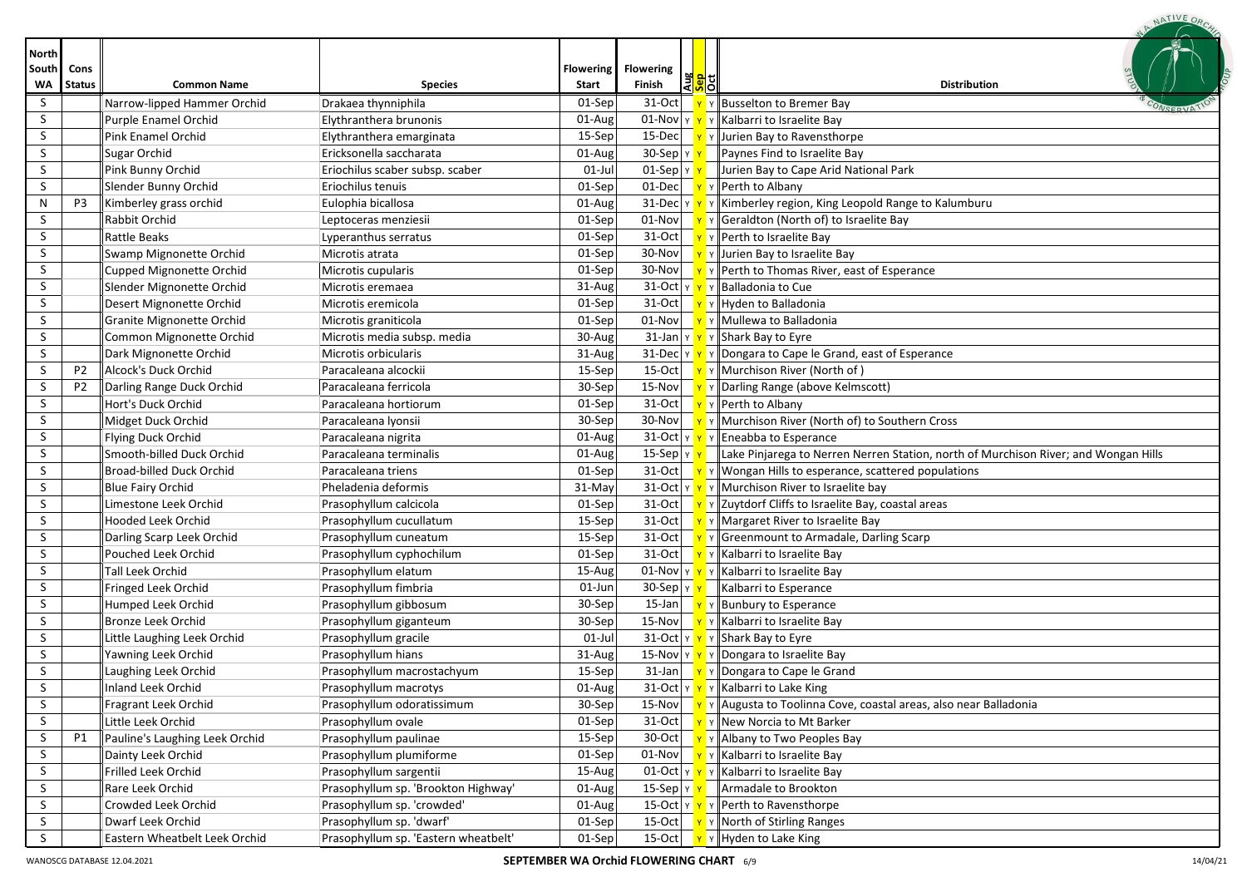|                                    |                       |                                |                                      |                           |                                         |                    | NATIVE OR                                                                                             |
|------------------------------------|-----------------------|--------------------------------|--------------------------------------|---------------------------|-----------------------------------------|--------------------|-------------------------------------------------------------------------------------------------------|
| <b>North</b><br>South<br><b>WA</b> | Cons<br><b>Status</b> | <b>Common Name</b>             | <b>Species</b>                       | <b>Flowering</b><br>Start | <b>Flowering</b><br>Finish              | 꽃 <mark>위</mark> 리 | <b>Distribution</b>                                                                                   |
| S.                                 |                       | Narrow-lipped Hammer Orchid    | Drakaea thynniphila                  | 01-Sep                    | 31-Oct                                  |                    | Y Busselton to Bremer Bay                                                                             |
| S                                  |                       | Purple Enamel Orchid           | Elythranthera brunonis               | 01-Aug                    |                                         |                    | 01-Nov $\mathbf{v}$ $\mathbf{v}$ $\mathbf{v}$ Kalbarri to Israelite Bay                               |
| S                                  |                       | Pink Enamel Orchid             | Elythranthera emarginata             | 15-Sep                    |                                         |                    | 15-Dec $\mathbf{v}$ $\mathbf{v}$ $\mathbf{v}$ Jurien Bay to Ravensthorpe                              |
| S                                  |                       | Sugar Orchid                   | Ericksonella saccharata              | 01-Aug                    | $30-$ Sep $\frac{1}{x}$                 |                    | Paynes Find to Israelite Bay                                                                          |
| S                                  |                       | Pink Bunny Orchid              | Eriochilus scaber subsp. scaber      | $01$ -Jul                 | $01$ -Sep $\vert \vee \vert \vee \vert$ |                    | Jurien Bay to Cape Arid National Park                                                                 |
| S                                  |                       | Slender Bunny Orchid           | Eriochilus tenuis                    | 01-Sep                    |                                         |                    | 01-Dec $\mathbf{v}$ $\mathbf{v}$ Perth to Albany                                                      |
| Ν                                  | P3                    | Kimberley grass orchid         | Eulophia bicallosa                   | 01-Aug                    |                                         |                    | 31-Dec $\sqrt{\mathbf{r}}$ $\sqrt{\mathbf{r}}$ Kimberley region, King Leopold Range to Kalumburu      |
| S                                  |                       | Rabbit Orchid                  | Leptoceras menziesii                 | 01-Sep                    |                                         |                    | $\boxed{01-Nov}$ $\boxed{Y}$ Y Geraldton (North of) to Israelite Bay                                  |
| S.                                 |                       | <b>Rattle Beaks</b>            | Lyperanthus serratus                 | 01-Sep                    |                                         |                    | 31-Oct $\mathbf{v}$ $\mathbf{v}$ Perth to Israelite Bay                                               |
| S                                  |                       | Swamp Mignonette Orchid        | Microtis atrata                      | 01-Sep                    |                                         |                    | 30-Nov $\mathbf{v}$ $\mathbf{v}$ $\mathbf{v}$ Jurien Bay to Israelite Bay                             |
| S                                  |                       | Cupped Mignonette Orchid       | Microtis cupularis                   | 01-Sep                    |                                         |                    | 30-Nov $\mathbf{v}$ $\mathbf{v}$ Perth to Thomas River, east of Esperance                             |
| S                                  |                       | Slender Mignonette Orchid      | Microtis eremaea                     | 31-Aug                    |                                         |                    | 31-Oct $\mathbf{v} \times \mathbf{v}$ Palladonia to Cue                                               |
| S                                  |                       | Desert Mignonette Orchid       | Microtis eremicola                   | 01-Sep                    |                                         |                    | 31-Oct $\mathbf{v} \times \mathbf{v}$ + Hyden to Balladonia                                           |
| S                                  |                       | Granite Mignonette Orchid      | Microtis graniticola                 | 01-Sep                    |                                         |                    | $\overline{01}$ -Nov $\overline{Y}$ $\gamma$ Mullewa to Balladonia                                    |
| S                                  |                       | Common Mignonette Orchid       | Microtis media subsp. media          | 30-Aug                    |                                         |                    | 31-Jan $\frac{1}{x}$ $\frac{1}{x}$ $\frac{1}{x}$ Shark Bay to Eyre                                    |
| S                                  |                       | Dark Mignonette Orchid         | Microtis orbicularis                 | 31-Aug                    |                                         |                    | 31-Dec $\ v\ $ $\ v\ $ Dongara to Cape le Grand, east of Esperance                                    |
| S                                  | P <sub>2</sub>        | Alcock's Duck Orchid           | Paracaleana alcockii                 | 15-Sep                    |                                         |                    | 15-Oct $\mathbf{v} \times \mathbf{M}$ Y Murchison River (North of)                                    |
| S                                  | P <sub>2</sub>        | Darling Range Duck Orchid      | Paracaleana ferricola                | 30-Sep                    |                                         |                    | 15-Nov $\mathbf{v} \times \mathbf{v}$ Y Darling Range (above Kelmscott)                               |
| S                                  |                       | Hort's Duck Orchid             | Paracaleana hortiorum                | 01-Sep                    |                                         |                    | 31-Oct $\mathbf{v}$ $\mathbf{v}$ Perth to Albany                                                      |
| S                                  |                       | Midget Duck Orchid             | Paracaleana Iyonsii                  | 30-Sep                    |                                         |                    | 30-Nov $\mathbf{v} \times \mathbf{v}$ Murchison River (North of) to Southern Cross                    |
| S                                  |                       | Flying Duck Orchid             | Paracaleana nigrita                  | 01-Aug                    |                                         |                    | 31-Oct $\ v\ $ $\ v\ $ Eneabba to Esperance                                                           |
| S                                  |                       | Smooth-billed Duck Orchid      | Paracaleana terminalis               | 01-Aug                    |                                         |                    | 15-Sep $\ v\ $ Lake Pinjarega to Nerren Nerren Station, north of Murchison River; and Wongan Hills    |
| S                                  |                       | Broad-billed Duck Orchid       | Paracaleana triens                   | 01-Sep                    |                                         |                    | 31-Oct $\ \mathbf{v}\ $ $\ \mathbf{W}$ ongan Hills to esperance, scattered populations                |
| S                                  |                       | <b>Blue Fairy Orchid</b>       | Pheladenia deformis                  | 31-May                    |                                         |                    | 31-Oct $\sqrt{\gamma}$ $\gamma$ Murchison River to Israelite bay                                      |
| S                                  |                       | Limestone Leek Orchid          | Prasophyllum calcicola               | 01-Sep                    |                                         |                    | 31-Oct $\ \mathbf{v}\ $ $\mathbf{v}\ $ Zuytdorf Cliffs to Israelite Bay, coastal areas                |
| S                                  |                       | <b>Hooded Leek Orchid</b>      | Prasophyllum cucullatum              | 15-Sep                    |                                         |                    | 31-Oct $\mathbf{v} \times \mathbf{M}$ $\mathbf{v}$ Margaret River to Israelite Bay                    |
| S.                                 |                       | Darling Scarp Leek Orchid      | Prasophyllum cuneatum                | 15-Sep                    |                                         |                    | 31-Oct   Y Y Greenmount to Armadale, Darling Scarp                                                    |
| S                                  |                       | Pouched Leek Orchid            | Prasophyllum cyphochilum             | 01-Sep                    |                                         |                    | 31-Oct $\mathbf{v}$ $\mathbf{v}$ Kalbarri to Israelite Bay                                            |
| S                                  |                       | <b>Tall Leek Orchid</b>        | Prasophyllum elatum                  | 15-Aug                    |                                         |                    | 01-Nov $\mathbf{v} \times \mathbf{v}$ Y Kalbarri to Israelite Bay                                     |
| S                                  |                       | Fringed Leek Orchid            | Prasophyllum fimbria                 | 01-Jun                    | $30-$ Sep $\frac{1}{x}$                 |                    | Kalbarri to Esperance                                                                                 |
| S                                  |                       | Humped Leek Orchid             | Prasophyllum gibbosum                | 30-Sep                    |                                         |                    | 15-Jan $\mathbf{v}$ $\mathbf{v}$ Bunbury to Esperance                                                 |
| S                                  |                       | <b>Bronze Leek Orchid</b>      | Prasophyllum giganteum               | 30-Sep                    |                                         |                    | 15-Nov Y Y Kalbarri to Israelite Bay                                                                  |
| S                                  |                       | Little Laughing Leek Orchid    | Prasophyllum gracile                 | $01$ -Jul                 |                                         |                    | 31-Oct $\  \mathbf{v} \  \mathbf{v} \ $ Shark Bay to Eyre                                             |
| S                                  |                       | Yawning Leek Orchid            | Prasophyllum hians                   | 31-Aug                    |                                         |                    | 15-Nov $\sqrt{Y}$ $\sqrt{D}$ Dongara to Israelite Bay                                                 |
| S.                                 |                       | Laughing Leek Orchid           | Prasophyllum macrostachyum           | 15-Sep                    |                                         |                    | 31-Jan $\mathbf{v}$ $\mathbf{v}$ Dongara to Cape le Grand                                             |
| S                                  |                       | Inland Leek Orchid             | Prasophyllum macrotys                | 01-Aug                    |                                         |                    | 31-Oct $\mathbf{v} \times \mathbf{v}$ Y Kalbarri to Lake King                                         |
| S                                  |                       | Fragrant Leek Orchid           | Prasophyllum odoratissimum           | 30-Sep                    |                                         |                    | 15-Nov $\mathbf{v} \times \mathbf{v}$ Y Augusta to Toolinna Cove, coastal areas, also near Balladonia |
| S                                  |                       | Little Leek Orchid             | Prasophyllum ovale                   | 01-Sep                    |                                         |                    | 31-Oct $\mathbf{v}$ $\mathbf{v}$ New Norcia to Mt Barker                                              |
| S                                  | P1                    | Pauline's Laughing Leek Orchid | Prasophyllum paulinae                | 15-Sep                    |                                         |                    | 30-Oct   <b>Y</b> Y   Albany to Two Peoples Bay                                                       |
| S                                  |                       | Dainty Leek Orchid             | Prasophyllum plumiforme              | 01-Sep                    |                                         |                    | 01-Nov $\mathbf{v}$ $\mathbf{v}$ $\mathbf{v}$ Kalbarri to Israelite Bay                               |
| S                                  |                       | Frilled Leek Orchid            | Prasophyllum sargentii               | 15-Aug                    |                                         |                    | 01-Oct $\  \mathbf{v} \  \mathbf{v} \ $ Kalbarri to Israelite Bay                                     |
| S                                  |                       | Rare Leek Orchid               | Prasophyllum sp. 'Brookton Highway'  | 01-Aug                    |                                         |                    | 15-Sep $\vert \mathbf{v} \vert \mathbf{r} \vert$ Armadale to Brookton                                 |
| S                                  |                       | Crowded Leek Orchid            | Prasophyllum sp. 'crowded'           | 01-Aug                    |                                         |                    | 15-Oct $\mathbf{v} \times \mathbf{v}$ Perth to Ravensthorpe                                           |
| S.                                 |                       | Dwarf Leek Orchid              | Prasophyllum sp. 'dwarf'             | 01-Sep                    |                                         |                    | 15-Oct $\mathbf{v} \times \mathbf{N}$ North of Stirling Ranges                                        |
| S                                  |                       | Eastern Wheatbelt Leek Orchid  | Prasophyllum sp. 'Eastern wheatbelt' | 01-Sep                    |                                         |                    | 15-Oct $\mathbf{v} \times \mathbf{v}$ + Hyden to Lake King                                            |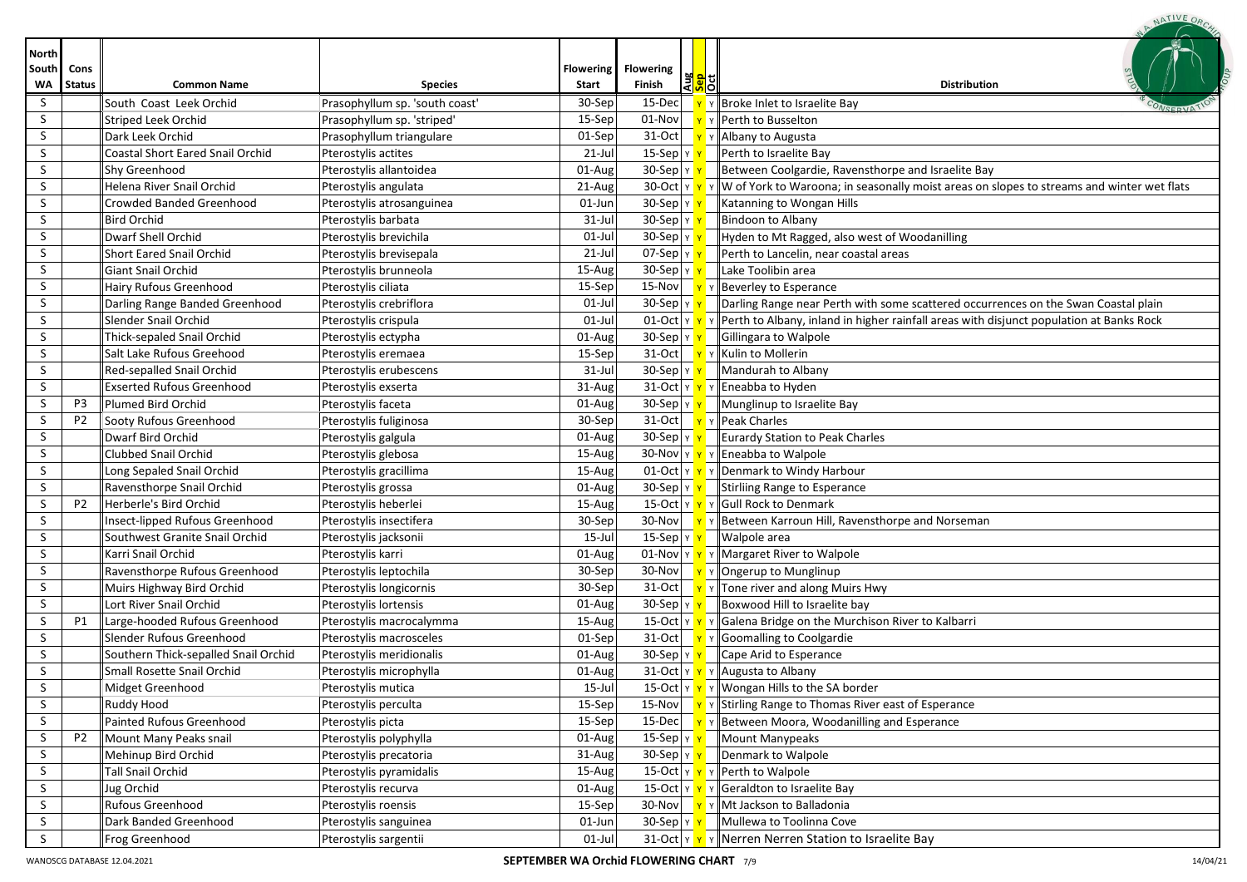| <b>North</b> |                |                                         |                                |                  |                                                    |                                                                                                        |
|--------------|----------------|-----------------------------------------|--------------------------------|------------------|----------------------------------------------------|--------------------------------------------------------------------------------------------------------|
| South        | Cons           |                                         |                                | <b>Flowering</b> | <b>Flowering</b>                                   |                                                                                                        |
| <b>WA</b>    | <b>Status</b>  | <b>Common Name</b>                      | <b>Species</b>                 | Start            | ) <mark>이 없</mark> 다<br><mark>이 어</mark><br>Finish | <b>Distribution</b>                                                                                    |
| S            |                | South Coast Leek Orchid                 | Prasophyllum sp. 'south coast' | 30-Sep           | 15-Dec                                             | Y Broke Inlet to Israelite Bay                                                                         |
| S            |                | <b>Striped Leek Orchid</b>              | Prasophyllum sp. 'striped'     | 15-Sep           | 01-Nov                                             | y Perth to Busselton                                                                                   |
| S            |                | Dark Leek Orchid                        | Prasophyllum triangulare       | 01-Sep           | $31-Oct$                                           | Y Albany to Augusta                                                                                    |
| S            |                | <b>Coastal Short Eared Snail Orchid</b> | Pterostylis actites            | $21$ -Jul        | 15-Sep $ \gamma $                                  | Perth to Israelite Bay                                                                                 |
| S            |                | Shy Greenhood                           | Pterostylis allantoidea        | 01-Aug           | $30-Sep$ $y$                                       | Between Coolgardie, Ravensthorpe and Israelite Bay                                                     |
| S            |                | Helena River Snail Orchid               | Pterostylis angulata           | 21-Aug           | 30-Oct $y \rightarrow y$                           | $\mathbf{v}$ W of York to Waroona; in seasonally moist areas on slopes to streams and winter wet flats |
| S            |                | Crowded Banded Greenhood                | Pterostylis atrosanguinea      | 01-Jun           | 30-Sep Y                                           | Katanning to Wongan Hills                                                                              |
| S.           |                | <b>Bird Orchid</b>                      | Pterostylis barbata            | $31$ -Jul        | 30-Sep Y Y                                         | Bindoon to Albany                                                                                      |
| S.           |                | Dwarf Shell Orchid                      | Pterostylis brevichila         | $01-Jul$         | 30-Sep Y Y                                         | Hyden to Mt Ragged, also west of Woodanilling                                                          |
| S            |                | <b>Short Eared Snail Orchid</b>         | Pterostylis brevisepala        | $21$ -Jul        | 07-Sep $\vert$ Y $\vert$ Y                         | Perth to Lancelin, near coastal areas                                                                  |
| S            |                | <b>Giant Snail Orchid</b>               | Pterostylis brunneola          | 15-Aug           | $30-Sep$ $v$                                       | Lake Toolibin area                                                                                     |
| S            |                | Hairy Rufous Greenhood                  | Pterostylis ciliata            | 15-Sep           | 15-Nov $\overline{Y}$                              | Y Beverley to Esperance                                                                                |
| S            |                | Darling Range Banded Greenhood          | Pterostylis crebriflora        | $01$ -Jul        | $30-Sep$ $y$                                       | Darling Range near Perth with some scattered occurrences on the Swan Coastal plain                     |
| S            |                | Slender Snail Orchid                    | Pterostylis crispula           | $01$ -Jul        | $01$ -Oct $y$                                      | $\mathbf{v}$ Perth to Albany, inland in higher rainfall areas with disjunct population at Banks Rock   |
| S            |                | Thick-sepaled Snail Orchid              | Pterostylis ectypha            | 01-Aug           | $30-Sep$ $y$                                       | Gillingara to Walpole                                                                                  |
| S            |                | Salt Lake Rufous Greehood               | Pterostylis eremaea            | 15-Sep           | $31-Oct$                                           | Y Kulin to Mollerin                                                                                    |
| S.           |                | Red-sepalled Snail Orchid               | Pterostylis erubescens         | 31-Jul           | $30-Sep y $                                        | Mandurah to Albany                                                                                     |
| S            |                | <b>Exserted Rufous Greenhood</b>        | Pterostylis exserta            | 31-Aug           |                                                    | 31-Oct $\  \mathbf{v} \times \mathbf{v} \ $ Eneabba to Hyden                                           |
| S            | P3             | <b>Plumed Bird Orchid</b>               | Pterostylis faceta             | 01-Aug           | 30-Sep YY                                          | Munglinup to Israelite Bay                                                                             |
| S            | P <sub>2</sub> | Sooty Rufous Greenhood                  | Pterostylis fuliginosa         | 30-Sep           |                                                    | 31-Oct $\mathbf{v}$ $\mathbf{v}$ Peak Charles                                                          |
| S            |                | Dwarf Bird Orchid                       | Pterostylis galgula            | 01-Aug           | $30-Sep$ $v$                                       | Eurardy Station to Peak Charles                                                                        |
| S            |                | <b>Clubbed Snail Orchid</b>             | Pterostylis glebosa            | 15-Aug           |                                                    | 30-Nov $\mathbf{v} \times \mathbf{v}$ Y Eneabba to Walpole                                             |
| S            |                | Long Sepaled Snail Orchid               | Pterostylis gracillima         | 15-Aug           |                                                    | 01-Oct $\mathbf{v} \times \mathbf{v}$ Y Denmark to Windy Harbour                                       |
| S            |                | Ravensthorpe Snail Orchid               | Pterostylis grossa             | 01-Aug           | $30$ -Sep $\vert \text{y} \vert \text{y}$          | Stirliing Range to Esperance                                                                           |
| S            | <b>P2</b>      | Herberle's Bird Orchid                  | Pterostylis heberlei           | 15-Aug           |                                                    | 15-Oct Y Y Y Gull Rock to Denmark                                                                      |
| S            |                | Insect-lipped Rufous Greenhood          | Pterostylis insectifera        | 30-Sep           |                                                    | 30-Nov $\mathbf{v} \times \mathbf{v}$ Between Karroun Hill, Ravensthorpe and Norseman                  |
| S            |                | Southwest Granite Snail Orchid          | Pterostylis jacksonii          | $15$ -Jul        | 15-Sep $\vert$ Y $\vert$ Y                         | Walpole area                                                                                           |
| S            |                | Karri Snail Orchid                      | Pterostylis karri              | 01-Aug           |                                                    | 01-Nov $\mathbf{v} \times \mathbf{v}$ Margaret River to Walpole                                        |
| S            |                | Ravensthorpe Rufous Greenhood           | Pterostylis leptochila         | 30-Sep           |                                                    | 30-Nov $\mathbf{v} \times \mathbf{0}$ Y   Ongerup to Munglinup                                         |
| S            |                | Muirs Highway Bird Orchid               | Pterostylis longicornis        | 30-Sep           |                                                    | 31-Oct $\mathbf{v} \times \mathbf{v}$ Tone river and along Muirs Hwy                                   |
| S            |                | Lort River Snail Orchid                 | Pterostylis lortensis          | 01-Aug           | 30-Sep $\vert \text{Y} \vert \text{Y}$             | Boxwood Hill to Israelite bay                                                                          |
| S            | P1             | Large-hooded Rufous Greenhood           | Pterostylis macrocalymma       | 15-Aug           |                                                    | 15-Oct $\ v\ $ $\mathbf{v}$ $\ v\ $ Galena Bridge on the Murchison River to Kalbarri                   |
| S            |                | Slender Rufous Greenhood                | Pterostylis macrosceles        | 01-Sep           |                                                    | 31-Oct $\mathbf{v}$ $\mathbf{v}$ Goomalling to Coolgardie                                              |
| S            |                | Southern Thick-sepalled Snail Orchid    | Pterostylis meridionalis       | 01-Aug           | 30-Sep $\vert \text{Y} \vert \text{Y}$             | Cape Arid to Esperance                                                                                 |
| S            |                | Small Rosette Snail Orchid              | Pterostylis microphylla        | 01-Aug           |                                                    | 31-Oct $\mathbf{v} \times \mathbf{v}$ Y Augusta to Albany                                              |
| S            |                | Midget Greenhood                        | Pterostylis mutica             | $15$ -Jul        |                                                    | 15-Oct $\mathbf{v} \times \mathbf{v}$ w Wongan Hills to the SA border                                  |
| S            |                | <b>Ruddy Hood</b>                       | Pterostylis perculta           | 15-Sep           |                                                    | 15-Nov   Y   Stirling Range to Thomas River east of Esperance                                          |
| S            |                | Painted Rufous Greenhood                | Pterostylis picta              | 15-Sep           | $15$ -Dec                                          | Y Between Moora, Woodanilling and Esperance                                                            |
| S            | P <sub>2</sub> | Mount Many Peaks snail                  | Pterostylis polyphylla         | 01-Aug           | 15-Sep $\vert$ Y                                   | Mount Manypeaks                                                                                        |
| S            |                | Mehinup Bird Orchid                     | Pterostylis precatoria         | 31-Aug           | 30-Sep Y Y                                         | Denmark to Walpole                                                                                     |
| S            |                | <b>Tall Snail Orchid</b>                | Pterostylis pyramidalis        | 15-Aug           |                                                    | 15-Oct $\mathbf{v} \times \mathbf{v}$ Perth to Walpole                                                 |
| S            |                | Jug Orchid                              | Pterostylis recurva            | 01-Aug           |                                                    | 15-Oct $\ v\ $ $\ v\ $ Geraldton to Israelite Bay                                                      |
| S            |                | Rufous Greenhood                        | Pterostylis roensis            | 15-Sep           |                                                    | 30-Nov $\mathbf{v} \times \mathbf{M}$ $\mathbf{v}$ Mt Jackson to Balladonia                            |
| S            |                | Dark Banded Greenhood                   | Pterostylis sanguinea          | 01-Jun           | 30-Sep γ γ                                         | Mullewa to Toolinna Cove                                                                               |
| S            |                | Frog Greenhood                          | Pterostylis sargentii          | $01$ -Jul        |                                                    | 31-Oct Y Y V Nerren Nerren Station to Israelite Bay                                                    |

NATIVE ORC.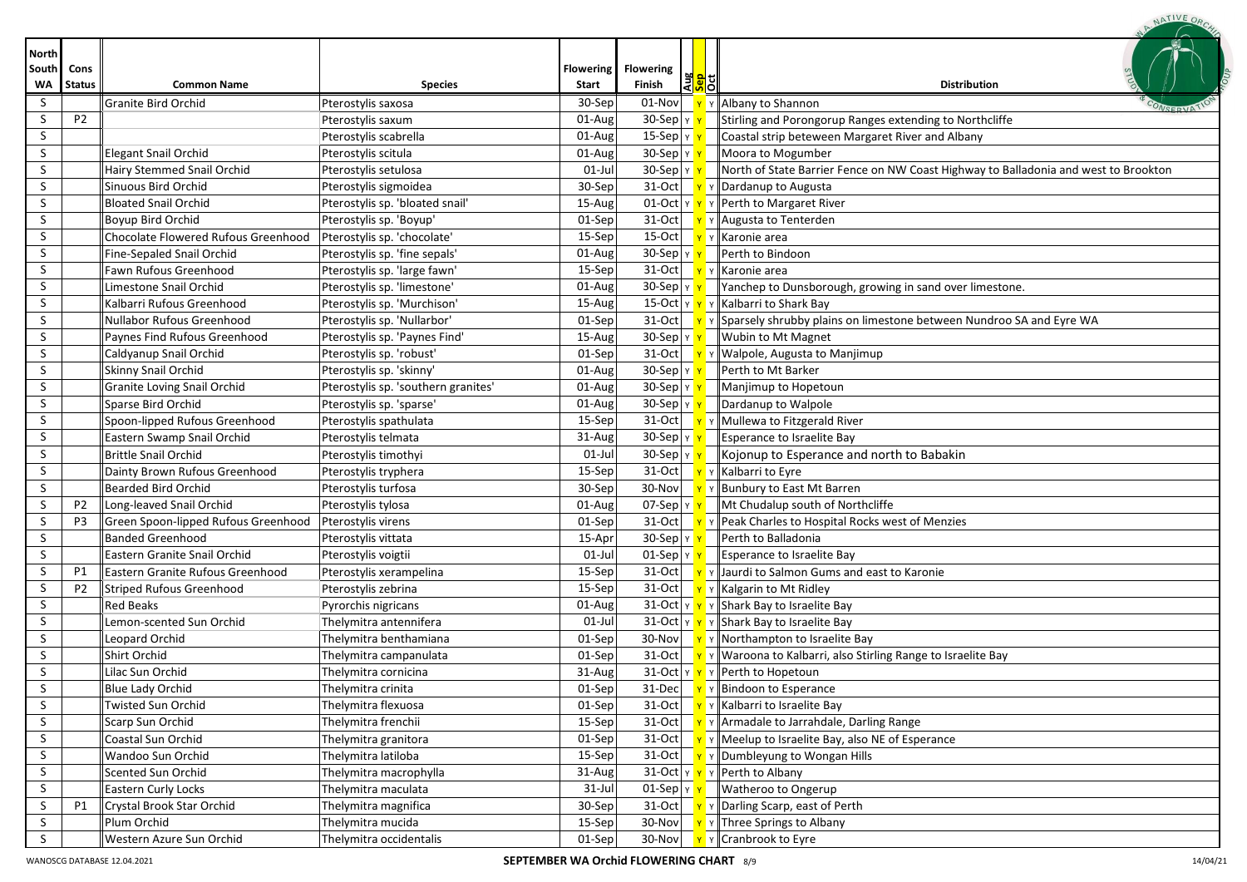|                             |                       |                                     |                                     |                           |                                                   | NATIVE OR                                                                                        |
|-----------------------------|-----------------------|-------------------------------------|-------------------------------------|---------------------------|---------------------------------------------------|--------------------------------------------------------------------------------------------------|
| <b>North</b><br>South<br>WA | Cons<br><b>Status</b> | <b>Common Name</b>                  | <b>Species</b>                      | <b>Flowering</b><br>Start | <b>Flowering</b><br> 꽃 <mark>위</mark> 리<br>Finish | <b>Distribution</b>                                                                              |
| S                           |                       | <b>Granite Bird Orchid</b>          | Pterostylis saxosa                  | 30-Sep                    | 01-Nov                                            | Y Albany to Shannon                                                                              |
| S                           | P <sub>2</sub>        |                                     | Pterostylis saxum                   | 01-Aug                    | $30-Sep$ $y$                                      | Stirling and Porongorup Ranges extending to Northcliffe                                          |
| S                           |                       |                                     | Pterostylis scabrella               | 01-Aug                    | 15-Sep $\vert$ Y                                  | Coastal strip beteween Margaret River and Albany                                                 |
| S                           |                       | <b>Elegant Snail Orchid</b>         | Pterostylis scitula                 | 01-Aug                    | 30-Sep Y                                          | Moora to Mogumber                                                                                |
| S                           |                       | Hairy Stemmed Snail Orchid          | Pterostylis setulosa                | $01$ -Jul                 | $30-$ Sep $\vert \vee \vert \vee \vert$           | $\parallel$ North of State Barrier Fence on NW Coast Highway to Balladonia and west to Brookton  |
| S                           |                       | Sinuous Bird Orchid                 | Pterostylis sigmoidea               | 30-Sep                    |                                                   | 31-Oct $\mathbf{v} \times \mathbf{0}$ > Dardanup to Augusta                                      |
| S                           |                       | <b>Bloated Snail Orchid</b>         | Pterostylis sp. 'bloated snail'     | 15-Aug                    |                                                   | $\overline{01\text{-}Oct}$ $\overline{Y}$ $\overline{Y}$ $\overline{Y}$ Perth to Margaret River  |
| S                           |                       | Boyup Bird Orchid                   | Pterostylis sp. 'Boyup'             | 01-Sep                    |                                                   | 31-Oct $\mathbf{v} \times \mathbf{A}$ $\mathbf{v}$ $\mathbf{A}$ and $\mathbf{v}$ at $\mathbf{A}$ |
| S                           |                       | Chocolate Flowered Rufous Greenhood | Pterostylis sp. 'chocolate'         | 15-Sep                    | $15$ -Oct                                         | <mark>Y</mark> Y Karonie area                                                                    |
| S.                          |                       | Fine-Sepaled Snail Orchid           | Pterostylis sp. 'fine sepals'       | 01-Aug                    | 30-Sep YY                                         | Perth to Bindoon                                                                                 |
| S                           |                       | Fawn Rufous Greenhood               | Pterostylis sp. 'large fawn'        | 15-Sep                    | $31-Oct$                                          | Y Karonie area                                                                                   |
| S                           |                       | Limestone Snail Orchid              | Pterostylis sp. 'limestone'         | 01-Aug                    | $30-Sep$ $y$                                      | Yanchep to Dunsborough, growing in sand over limestone.                                          |
| S                           |                       | Kalbarri Rufous Greenhood           | Pterostylis sp. 'Murchison'         | 15-Aug                    |                                                   | 15-Oct Y Y Y Kalbarri to Shark Bay                                                               |
| S                           |                       | <b>Nullabor Rufous Greenhood</b>    | Pterostylis sp. 'Nullarbor'         | 01-Sep                    | $31-Oct$ $v$                                      | Y Sparsely shrubby plains on limestone between Nundroo SA and Eyre WA                            |
| S                           |                       | Paynes Find Rufous Greenhood        | Pterostylis sp. 'Paynes Find'       | 15-Aug                    | $30-Sep$ $v$                                      | Wubin to Mt Magnet                                                                               |
| S                           |                       | Caldyanup Snail Orchid              | Pterostylis sp. 'robust'            | 01-Sep                    | $31$ -Oct $\overline{y}$                          | Y   Walpole, Augusta to Manjimup                                                                 |
| S                           |                       | Skinny Snail Orchid                 | Pterostylis sp. 'skinny'            | 01-Aug                    | $30-Sep   Y$                                      | Perth to Mt Barker                                                                               |
| S.                          |                       | Granite Loving Snail Orchid         | Pterostylis sp. 'southern granites' | 01-Aug                    | 30-Sep Y                                          | Manjimup to Hopetoun                                                                             |
| S.                          |                       | Sparse Bird Orchid                  | Pterostylis sp. 'sparse'            | 01-Aug                    | 30-Sep Y                                          | Dardanup to Walpole                                                                              |
| S                           |                       | Spoon-lipped Rufous Greenhood       | Pterostylis spathulata              | 15-Sep                    | 31-Oct $\frac{1}{11}$                             | Y Mullewa to Fitzgerald River                                                                    |
| S                           |                       | Eastern Swamp Snail Orchid          | Pterostylis telmata                 | 31-Aug                    | $30-Sep$ $y$                                      | <b>Esperance to Israelite Bay</b>                                                                |
| S.                          |                       | <b>Brittle Snail Orchid</b>         | Pterostylis timothyi                | $01$ -Jul                 | $30-Sep$ $v$                                      | Kojonup to Esperance and north to Babakin                                                        |
| S.                          |                       | Dainty Brown Rufous Greenhood       | Pterostylis tryphera                | 15-Sep                    | $31$ -Oct $\overline{y}$                          | Y Kalbarri to Eyre                                                                               |
| S                           |                       | <b>Bearded Bird Orchid</b>          | Pterostylis turfosa                 | 30-Sep                    | 30-Nov $\overline{Y}$                             | Y Bunbury to East Mt Barren                                                                      |
| S                           | P <sub>2</sub>        | Long-leaved Snail Orchid            | Pterostylis tylosa                  | 01-Aug                    | 07-Sep  Y   Y                                     | Mt Chudalup south of Northcliffe                                                                 |
| S                           | P <sub>3</sub>        | Green Spoon-lipped Rufous Greenhood | Pterostylis virens                  | 01-Sep                    | $31-Oct$ $v$                                      | $\mathbf{v}$ Peak Charles to Hospital Rocks west of Menzies                                      |
| S                           |                       | <b>Banded Greenhood</b>             | Pterostylis vittata                 | 15-Apr                    | $30-$ Sep $\frac{1}{x}$                           | Perth to Balladonia                                                                              |
| S                           |                       | Eastern Granite Snail Orchid        | Pterostylis voigtii                 | $01$ -Jul                 | $01-Sep$ $y$ $y$                                  | Esperance to Israelite Bay                                                                       |
| S                           | P1                    | Eastern Granite Rufous Greenhood    | Pterostylis xerampelina             | 15-Sep                    |                                                   | 31-Oct $\mathbf{v} \times \mathbf{v}$   Jaurdi to Salmon Gums and east to Karonie                |
| S                           | P <sub>2</sub>        | <b>Striped Rufous Greenhood</b>     | Pterostylis zebrina                 | $\overline{15}$ -Sep      |                                                   | 31-Oct $\mathbf{v} \times \mathbf{K}$ Y Kalgarin to Mt Ridley                                    |
| S                           |                       | Red Beaks                           | Pyrorchis nigricans                 | 01-Aug                    |                                                   | 31-Oct $\ v\ $ $\ v\ $ Shark Bay to Israelite Bay                                                |
| S                           |                       | Lemon-scented Sun Orchid            | Thelymitra antennifera              | $01$ -Jul                 |                                                   | 31-Oct $\ v\ $ $\ v\ $ Shark Bay to Israelite Bay                                                |
| S                           |                       | Leopard Orchid                      | Thelymitra benthamiana              | 01-Sep                    |                                                   | 30-Nov $\mathbf{v} \times \mathbf{v}$ Y Northampton to Israelite Bay                             |
| S                           |                       | Shirt Orchid                        | Thelymitra campanulata              | 01-Sep                    |                                                   | 31-Oct $\ \mathbf{v}\ $ Y Waroona to Kalbarri, also Stirling Range to Israelite Bay              |
| $\varsigma$                 |                       | Lilac Sun Orchid                    | Thelymitra cornicina                | 31-Aug                    |                                                   | 31-Oct $\mathbf{v} \times \mathbf{v}$ Perth to Hopetoun                                          |
| S                           |                       | Blue Lady Orchid                    | Thelymitra crinita                  | 01-Sep                    |                                                   | 31-Dec $\mathbf{v} \times \mathbf{B}$ > Bindoon to Esperance                                     |
| S.                          |                       | <b>Twisted Sun Orchid</b>           | Thelymitra flexuosa                 | $01-Sep$                  |                                                   | 31-Oct   <b>Y</b> Y   Kalbarri to Israelite Bay                                                  |
| S                           |                       | Scarp Sun Orchid                    | Thelymitra frenchii                 | $15-Sep$                  |                                                   | 31-Oct $\mathbf{v} \times \mathbf{A}$ The Theorem and all to Jarrahdale, Darling Range           |
| S                           |                       | Coastal Sun Orchid                  | Thelymitra granitora                | $01-Sep$                  |                                                   | 31-Oct $\ \mathbf{v}\ $ $\mathbf{v}$ $\ $ Meelup to Israelite Bay, also NE of Esperance          |
| S                           |                       | Wandoo Sun Orchid                   | Thelymitra latiloba                 | 15-Sep                    |                                                   | 31-Oct $\mathbf{v} \times \mathbf{v}$ Dumbleyung to Wongan Hills                                 |
| S                           |                       | Scented Sun Orchid                  | Thelymitra macrophylla              | 31-Aug                    |                                                   | 31-Oct $\mathbf{v} \times \mathbf{v}$ Perth to Albany                                            |
| S.                          |                       | Eastern Curly Locks                 | Thelymitra maculata                 | $31$ -Jul                 |                                                   | 01-Sep $\vert \mathbf{v} \vert \mathbf{v} \vert$ Watheroo to Ongerup                             |
| S                           | P1                    | Crystal Brook Star Orchid           | Thelymitra magnifica                | 30-Sep                    |                                                   | 31-Oct $\mathbf{v} \times \mathbf{0}$ Y Darling Scarp, east of Perth                             |
| S                           |                       | Plum Orchid                         | Thelymitra mucida                   | 15-Sep                    |                                                   | 30-Nov $\mathbf{v}$ $\mathbf{v}$ Three Springs to Albany                                         |
| S                           |                       | Western Azure Sun Orchid            | Thelymitra occidentalis             | 01-Sep                    |                                                   | 30-Nov   <b>Y</b> Y   Cranbrook to Eyre                                                          |